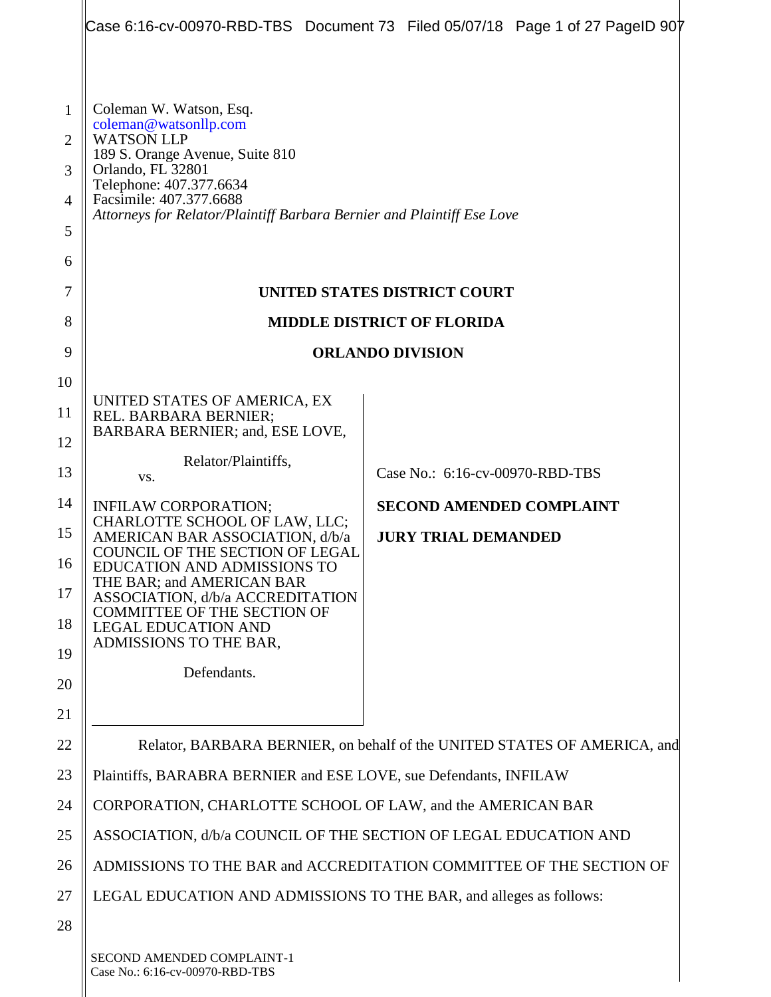|                                                                     |                                                                                                                                                                                                                                                               | Case 6:16-cv-00970-RBD-TBS Document 73 Filed 05/07/18 Page 1 of 27 PageID 907 |  |  |
|---------------------------------------------------------------------|---------------------------------------------------------------------------------------------------------------------------------------------------------------------------------------------------------------------------------------------------------------|-------------------------------------------------------------------------------|--|--|
| $\mathbf 1$<br>$\overline{2}$<br>3<br>$\overline{4}$<br>5<br>6<br>7 | Coleman W. Watson, Esq.<br>coleman@watsonllp.com<br><b>WATSON LLP</b><br>189 S. Orange Avenue, Suite 810<br>Orlando, FL 32801<br>Telephone: 407.377.6634<br>Facsimile: 407.377.6688<br>Attorneys for Relator/Plaintiff Barbara Bernier and Plaintiff Ese Love | UNITED STATES DISTRICT COURT                                                  |  |  |
| 8                                                                   |                                                                                                                                                                                                                                                               |                                                                               |  |  |
| 9                                                                   | <b>MIDDLE DISTRICT OF FLORIDA</b>                                                                                                                                                                                                                             |                                                                               |  |  |
| 10                                                                  | <b>ORLANDO DIVISION</b>                                                                                                                                                                                                                                       |                                                                               |  |  |
| 11                                                                  | UNITED STATES OF AMERICA, EX                                                                                                                                                                                                                                  |                                                                               |  |  |
| 12                                                                  | REL. BARBARA BERNIER;<br>BARBARA BERNIER; and, ESE LOVE,                                                                                                                                                                                                      |                                                                               |  |  |
| 13                                                                  | Relator/Plaintiffs,                                                                                                                                                                                                                                           | Case No.: 6:16-cv-00970-RBD-TBS                                               |  |  |
| 14                                                                  | VS.                                                                                                                                                                                                                                                           | <b>SECOND AMENDED COMPLAINT</b>                                               |  |  |
| 15                                                                  | INFILAW CORPORATION;<br>CHARLOTTE SCHOOL OF LAW, LLC;<br>AMERICAN BAR ASSOCIATION, d/b/a                                                                                                                                                                      | <b>JURY TRIAL DEMANDED</b>                                                    |  |  |
| 16                                                                  | COUNCIL OF THE SECTION OF LEGAL<br>EDUCATION AND ADMISSIONS TO                                                                                                                                                                                                |                                                                               |  |  |
| 17                                                                  | THE BAR; and AMERICAN BAR<br>ASSOCIATION, d/b/a ACCREDITATION                                                                                                                                                                                                 |                                                                               |  |  |
| 18                                                                  | <b>COMMITTEE OF THE SECTION OF</b><br><b>LEGAL EDUCATION AND</b>                                                                                                                                                                                              |                                                                               |  |  |
| 19                                                                  | ADMISSIONS TO THE BAR,                                                                                                                                                                                                                                        |                                                                               |  |  |
| 20                                                                  | Defendants.                                                                                                                                                                                                                                                   |                                                                               |  |  |
| 21                                                                  |                                                                                                                                                                                                                                                               |                                                                               |  |  |
| 22                                                                  | Relator, BARBARA BERNIER, on behalf of the UNITED STATES OF AMERICA, and                                                                                                                                                                                      |                                                                               |  |  |
| 23                                                                  | Plaintiffs, BARABRA BERNIER and ESE LOVE, sue Defendants, INFILAW                                                                                                                                                                                             |                                                                               |  |  |
| 24                                                                  | CORPORATION, CHARLOTTE SCHOOL OF LAW, and the AMERICAN BAR                                                                                                                                                                                                    |                                                                               |  |  |
| 25                                                                  |                                                                                                                                                                                                                                                               | ASSOCIATION, d/b/a COUNCIL OF THE SECTION OF LEGAL EDUCATION AND              |  |  |
| 26                                                                  | ADMISSIONS TO THE BAR and ACCREDITATION COMMITTEE OF THE SECTION OF                                                                                                                                                                                           |                                                                               |  |  |
| 27                                                                  | LEGAL EDUCATION AND ADMISSIONS TO THE BAR, and alleges as follows:                                                                                                                                                                                            |                                                                               |  |  |
| 28                                                                  |                                                                                                                                                                                                                                                               |                                                                               |  |  |
|                                                                     | SECOND AMENDED COMPLAINT-1                                                                                                                                                                                                                                    |                                                                               |  |  |

Case No.: 6:16-cv-00970-RBD-TBS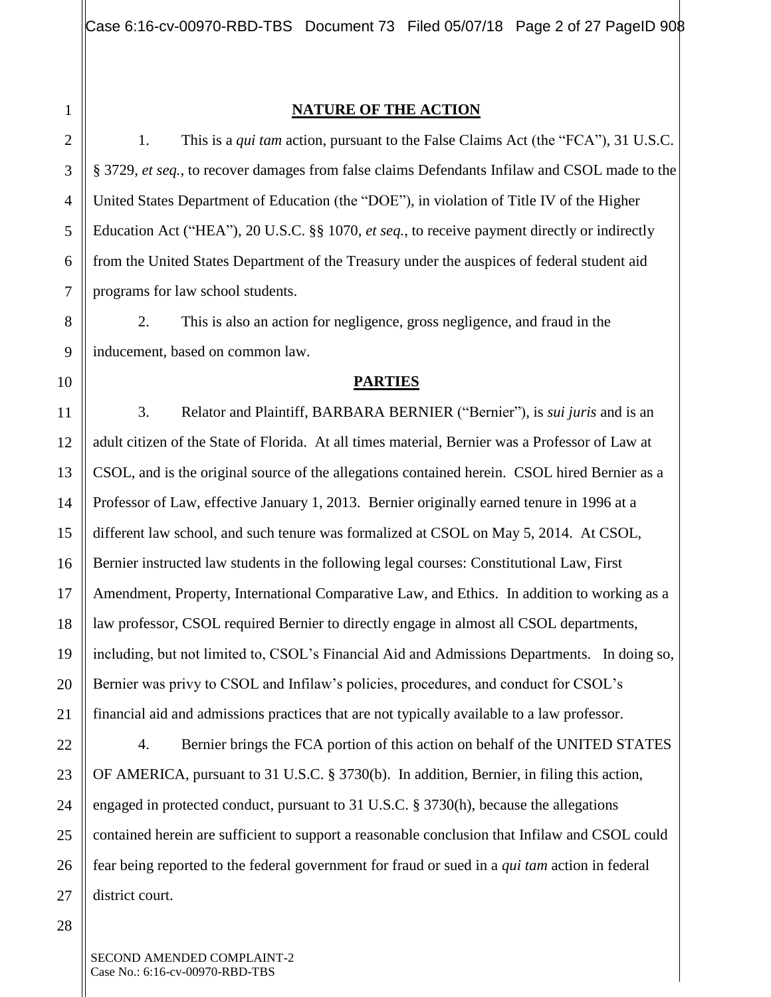3

## **NATURE OF THE ACTION**

1. This is a *qui tam* action, pursuant to the False Claims Act (the "FCA"), 31 U.S.C. § 3729, *et seq.*, to recover damages from false claims Defendants Infilaw and CSOL made to the United States Department of Education (the "DOE"), in violation of Title IV of the Higher Education Act ("HEA"), 20 U.S.C. §§ 1070, *et seq.*, to receive payment directly or indirectly from the United States Department of the Treasury under the auspices of federal student aid programs for law school students.

2. This is also an action for negligence, gross negligence, and fraud in the inducement, based on common law.

#### **PARTIES**

3. Relator and Plaintiff, BARBARA BERNIER ("Bernier"), is *sui juris* and is an adult citizen of the State of Florida. At all times material, Bernier was a Professor of Law at CSOL, and is the original source of the allegations contained herein. CSOL hired Bernier as a Professor of Law, effective January 1, 2013. Bernier originally earned tenure in 1996 at a different law school, and such tenure was formalized at CSOL on May 5, 2014. At CSOL, Bernier instructed law students in the following legal courses: Constitutional Law, First Amendment, Property, International Comparative Law, and Ethics. In addition to working as a law professor, CSOL required Bernier to directly engage in almost all CSOL departments, including, but not limited to, CSOL's Financial Aid and Admissions Departments. In doing so, Bernier was privy to CSOL and Infilaw's policies, procedures, and conduct for CSOL's financial aid and admissions practices that are not typically available to a law professor.

4. Bernier brings the FCA portion of this action on behalf of the UNITED STATES OF AMERICA, pursuant to 31 U.S.C. § 3730(b). In addition, Bernier, in filing this action, engaged in protected conduct, pursuant to [31 U.S.C. § 3730\(h\),](https://1.next.westlaw.com/Link/Document/FullText?findType=L&pubNum=1000546&cite=31USCAS3730&originatingDoc=I168f7110140b11e080558336ea473530&refType=RB&originationContext=document&transitionType=DocumentItem&contextData=(sc.Search)#co_pp_f383000077b35) because the allegations contained herein are sufficient to support a reasonable conclusion that Infilaw and CSOL could fear being reported to the federal government for fraud or sued in a *qui tam* action in federal district court.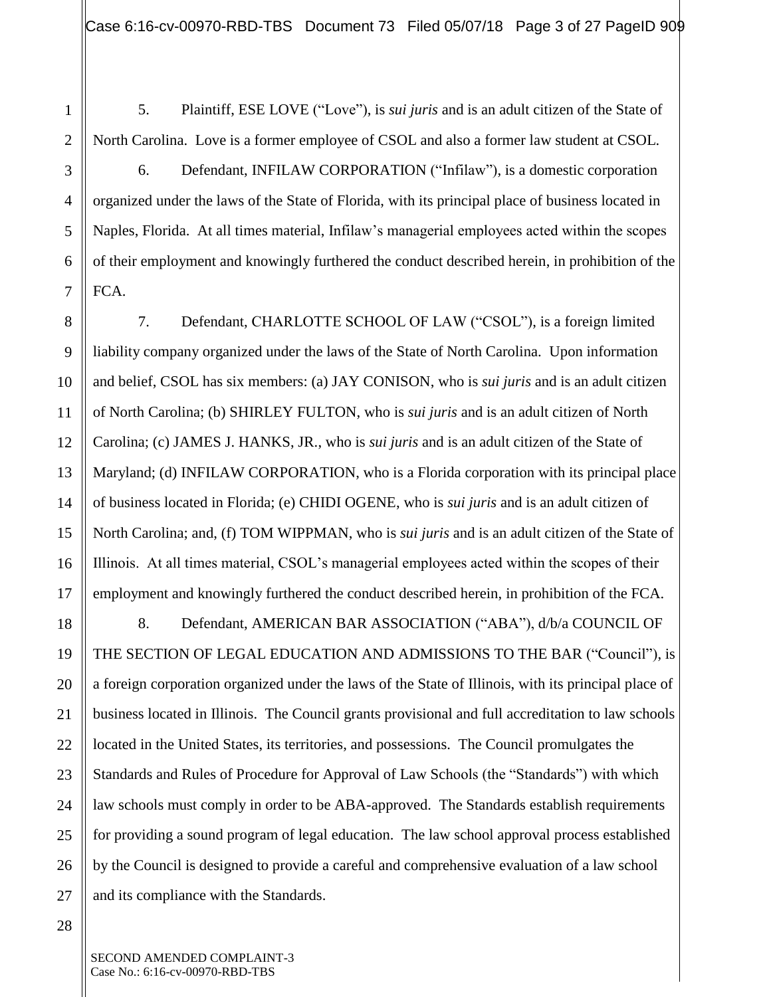5. Plaintiff, ESE LOVE ("Love"), is *sui juris* and is an adult citizen of the State of North Carolina. Love is a former employee of CSOL and also a former law student at CSOL.

6. Defendant, INFILAW CORPORATION ("Infilaw"), is a domestic corporation organized under the laws of the State of Florida, with its principal place of business located in Naples, Florida. At all times material, Infilaw's managerial employees acted within the scopes of their employment and knowingly furthered the conduct described herein, in prohibition of the FCA.

7. Defendant, CHARLOTTE SCHOOL OF LAW ("CSOL"), is a foreign limited liability company organized under the laws of the State of North Carolina. Upon information and belief, CSOL has six members: (a) JAY CONISON, who is *sui juris* and is an adult citizen of North Carolina; (b) SHIRLEY FULTON, who is *sui juris* and is an adult citizen of North Carolina; (c) JAMES J. HANKS, JR., who is *sui juris* and is an adult citizen of the State of Maryland; (d) INFILAW CORPORATION, who is a Florida corporation with its principal place of business located in Florida; (e) CHIDI OGENE, who is *sui juris* and is an adult citizen of North Carolina; and, (f) TOM WIPPMAN, who is *sui juris* and is an adult citizen of the State of Illinois. At all times material, CSOL's managerial employees acted within the scopes of their employment and knowingly furthered the conduct described herein, in prohibition of the FCA.

8. Defendant, AMERICAN BAR ASSOCIATION ("ABA"), d/b/a COUNCIL OF THE SECTION OF LEGAL EDUCATION AND ADMISSIONS TO THE BAR ("Council"), is a foreign corporation organized under the laws of the State of Illinois, with its principal place of business located in Illinois. The Council grants provisional and full accreditation to law schools located in the United States, its territories, and possessions. The Council promulgates the Standards and Rules of Procedure for Approval of Law Schools (the "Standards") with which law schools must comply in order to be ABA-approved. The Standards establish requirements for providing a sound program of legal education. The law school approval process established by the Council is designed to provide a careful and comprehensive evaluation of a law school and its compliance with the Standards.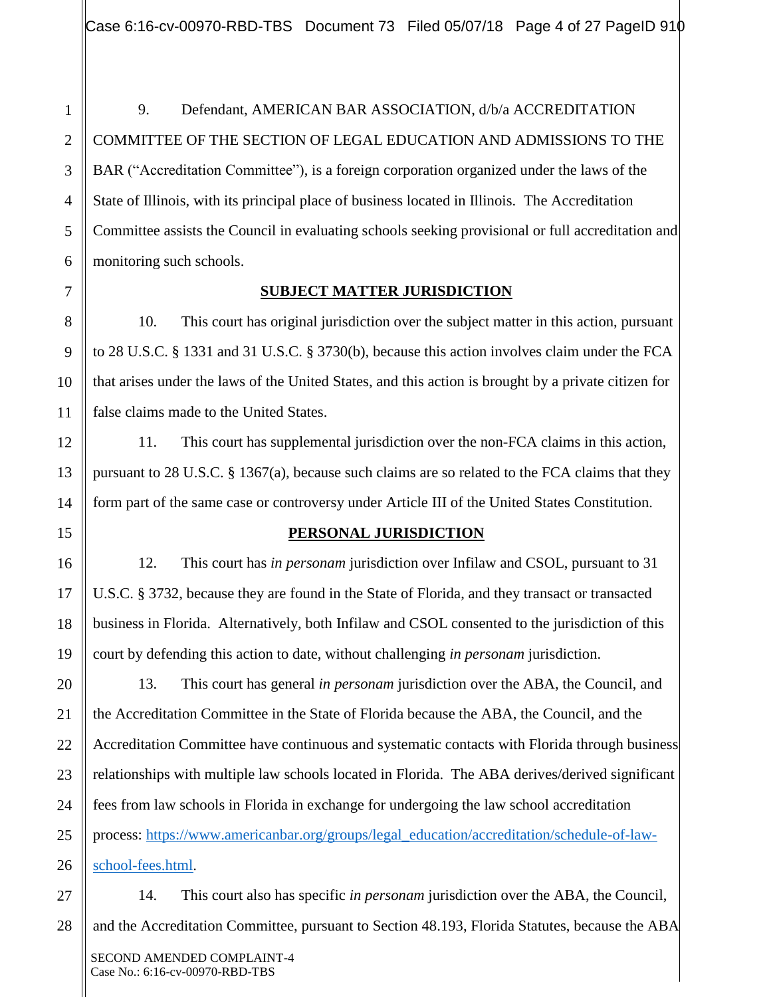9. Defendant, AMERICAN BAR ASSOCIATION, d/b/a ACCREDITATION COMMITTEE OF THE SECTION OF LEGAL EDUCATION AND ADMISSIONS TO THE BAR ("Accreditation Committee"), is a foreign corporation organized under the laws of the State of Illinois, with its principal place of business located in Illinois. The Accreditation Committee assists the Council in evaluating schools seeking provisional or full accreditation and monitoring such schools.

1

## **SUBJECT MATTER JURISDICTION**

10. This court has original jurisdiction over the subject matter in this action, pursuant to 28 U.S.C. § 1331 and 31 U.S.C. § 3730(b), because this action involves claim under the FCA that arises under the laws of the United States, and this action is brought by a private citizen for false claims made to the United States.

11. This court has supplemental jurisdiction over the non-FCA claims in this action, pursuant to 28 U.S.C. § 1367(a), because such claims are so related to the FCA claims that they form part of the same case or controversy under Article III of the United [States](https://www.law.cornell.edu/definitions/uscode.php?width=840&height=800&iframe=true&def_id=28-USC-80204913-1053560320&term_occur=1&term_src=title:28:part:IV:chapter:85:section:1367) Constitution.

## **PERSONAL JURISDICTION**

12. This court has *in personam* jurisdiction over Infilaw and CSOL, pursuant to 31 U.S.C. § 3732, because they are found in the State of Florida, and they transact or transacted business in Florida. Alternatively, both Infilaw and CSOL consented to the jurisdiction of this court by defending this action to date, without challenging *in personam* jurisdiction.

13. This court has general *in personam* jurisdiction over the ABA, the Council, and the Accreditation Committee in the State of Florida because the ABA, the Council, and the Accreditation Committee have continuous and systematic contacts with Florida through business relationships with multiple law schools located in Florida. The ABA derives/derived significant fees from law schools in Florida in exchange for undergoing the law school accreditation process: [https://www.americanbar.org/groups/legal\\_education/accreditation/schedule-of-law](https://www.americanbar.org/groups/legal_education/accreditation/schedule-of-law-school-fees.html)[school-fees.html.](https://www.americanbar.org/groups/legal_education/accreditation/schedule-of-law-school-fees.html)

14. This court also has specific *in personam* jurisdiction over the ABA, the Council, and the Accreditation Committee, pursuant to Section 48.193, Florida Statutes, because the ABA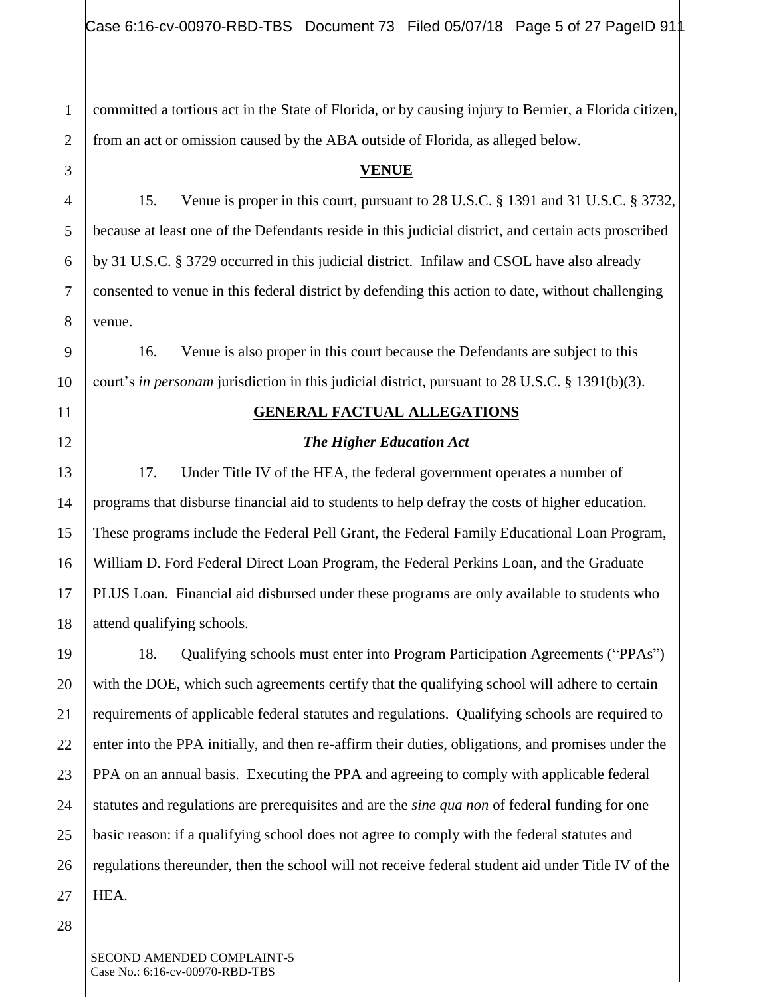committed a tortious act in the State of Florida, or by causing injury to Bernier, a Florida citizen, from an act or omission caused by the ABA outside of Florida, as alleged below.

#### **VENUE**

15. Venue is proper in this court, pursuant to 28 U.S.C. § 1391 and 31 U.S.C. § 3732, because at least one of the Defendants reside in this judicial district, and certain acts proscribed by 31 U.S.C. § 3729 occurred in this judicial district. Infilaw and CSOL have also already consented to venue in this federal district by defending this action to date, without challenging venue.

16. Venue is also proper in this court because the Defendants are subject to this court's *in personam* jurisdiction in this judicial district, pursuant to 28 U.S.C. § 1391(b)(3).

#### **GENERAL FACTUAL ALLEGATIONS**

#### *The Higher Education Act*

17. Under Title IV of the HEA, the federal government operates a number of programs that disburse financial aid to students to help defray the costs of higher education. These programs include the Federal Pell Grant, the Federal Family Educational Loan Program, William D. Ford Federal Direct Loan Program, the Federal Perkins Loan, and the Graduate PLUS Loan. Financial aid disbursed under these programs are only available to students who attend qualifying schools.

18. Qualifying schools must enter into Program Participation Agreements ("PPAs") with the DOE, which such agreements certify that the qualifying school will adhere to certain requirements of applicable federal statutes and regulations. Qualifying schools are required to enter into the PPA initially, and then re-affirm their duties, obligations, and promises under the PPA on an annual basis. Executing the PPA and agreeing to comply with applicable federal statutes and regulations are prerequisites and are the *sine qua non* of federal funding for one basic reason: if a qualifying school does not agree to comply with the federal statutes and regulations thereunder, then the school will not receive federal student aid under Title IV of the HEA.

1

2

3

4

5

6

7

8

9

10

11

12

13

14

15

16

17

18

19

20

21

22

23

24

25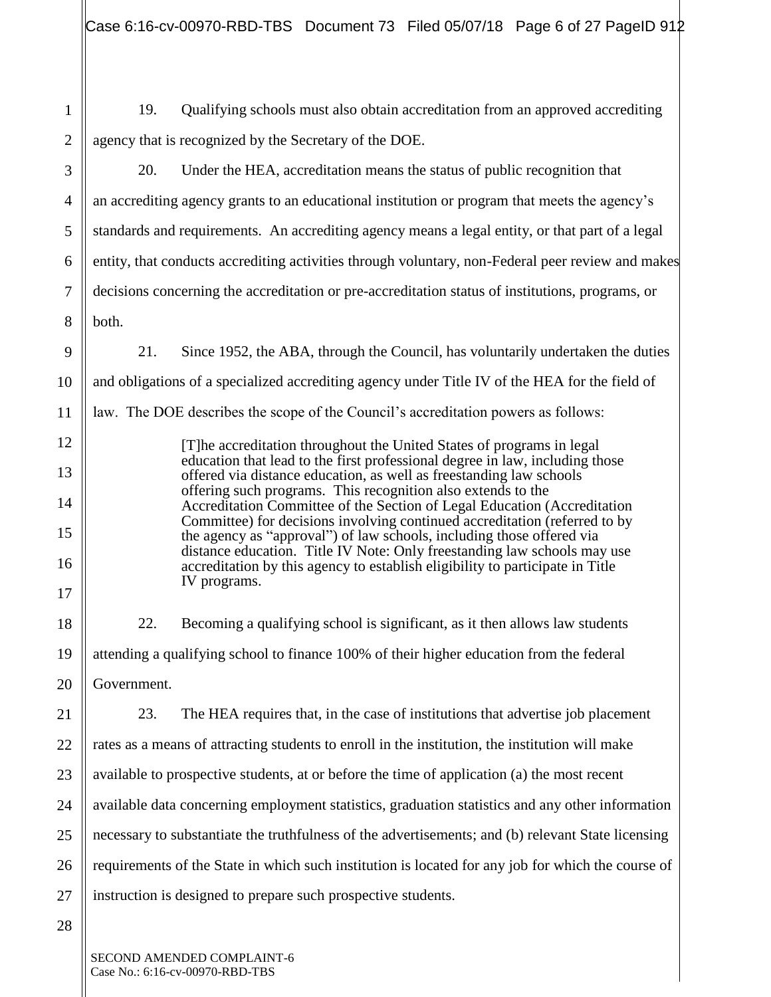Case 6:16-cv-00970-RBD-TBS Document 73 Filed 05/07/18 Page 6 of 27 PageID 912

1 2 3 4 5 6 7 8 9 10 11 12 13 14 15 16 17 18 19 20 21 22 23 24 25 26 27 28 19. Qualifying schools must also obtain accreditation from an approved accrediting agency that is recognized by the Secretary of the DOE. 20. Under the HEA, accreditation means the status of public [recognition](https://www.law.cornell.edu/definitions/index.php?width=840&height=800&iframe=true&def_id=81794cbc7035e5e761a631246faa4b5c&term_occur=1&term_src=Title:34:Subtitle:B:Chapter:VI:Part:602:Subpart:A:602.3) that an [accrediting agency](https://www.law.cornell.edu/definitions/index.php?width=840&height=800&iframe=true&def_id=f3ef5079bc8a3ffb82af51ea14e79bfd&term_occur=1&term_src=Title:34:Subtitle:B:Chapter:VI:Part:602:Subpart:A:602.3) grants to an educational institution or [program](https://www.law.cornell.edu/definitions/index.php?width=840&height=800&iframe=true&def_id=3118ac3412fba252b68ba4f53922c6fb&term_occur=1&term_src=Title:34:Subtitle:B:Chapter:VI:Part:602:Subpart:A:602.3) that meets the agency's standards and requirements. An accrediting agency means a legal entity, or that part of a legal entity, that conducts accrediting activities through voluntary, non-Federal peer review and makes decisions concerning the [accreditation](https://www.law.cornell.edu/definitions/index.php?width=840&height=800&iframe=true&def_id=c33f7fd771b92b904bdcd7a0e06185d3&term_occur=1&term_src=Title:34:Subtitle:B:Chapter:VI:Part:602:Subpart:A:602.3) or [pre-accreditation](https://www.law.cornell.edu/definitions/index.php?width=840&height=800&iframe=true&def_id=aefdaa1031d371074c1695a27a92e39b&term_occur=1&term_src=Title:34:Subtitle:B:Chapter:VI:Part:602:Subpart:A:602.3) status of institutions, programs, or both. 21. Since 1952, the ABA, through the Council, has voluntarily undertaken the duties and obligations of a specialized accrediting agency under Title IV of the HEA for the field of law. The DOE describes the scope of the Council's accreditation powers as follows: [T]he accreditation throughout the United States of programs in legal education that lead to the first professional degree in law, including those offered via distance education, as well as freestanding law schools offering such programs. This recognition also extends to the Accreditation Committee of the Section of Legal Education (Accreditation Committee) for decisions involving continued accreditation (referred to by the agency as "approval") of law schools, including those offered via distance education. Title IV Note: Only freestanding law schools may use accreditation by this agency to establish eligibility to participate in Title IV programs. 22. Becoming a qualifying school is significant, as it then allows law students attending a qualifying school to finance 100% of their higher education from the federal Government. 23. The HEA requires that, in the case of institutions that advertise job placement rates as a means of attracting students to enroll in the institution, the institution will make available to prospective students, at or before the time of application (a) the most recent available data concerning employment statistics, graduation statistics and any other information necessary to substantiate the truthfulness of the advertisements; and (b) relevant State licensing requirements of the State in which such institution is located for any job for which the course of instruction is designed to prepare such prospective students.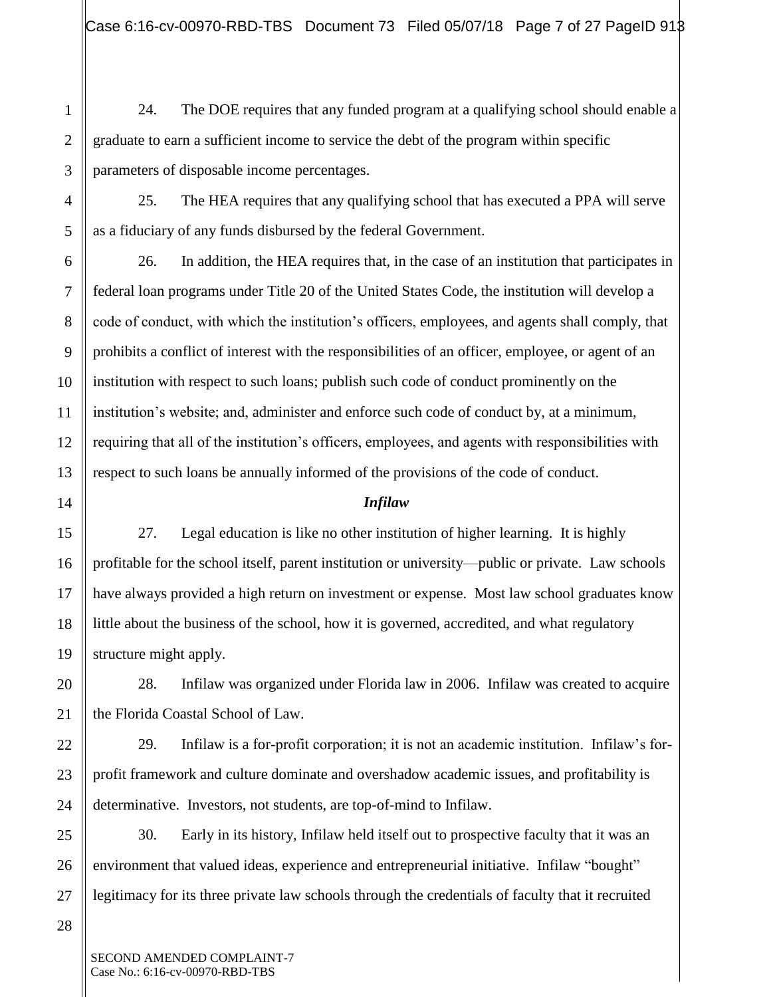24. The DOE requires that any funded program at a qualifying school should enable a graduate to earn a sufficient income to service the debt of the program within specific parameters of disposable income percentages.

25. The HEA requires that any qualifying school that has executed a PPA will serve as a fiduciary of any funds disbursed by the federal Government.

26. In addition, the HEA requires that, in the case of an institution that participates in federal loan programs under Title 20 of the United States Code, the institution will develop a code of conduct, with which the institution's officers, employees, and agents shall comply, that prohibits a conflict of interest with the responsibilities of an officer, employee, or agent of an institution with respect to such loans; publish such code of conduct prominently on the institution's website; and, administer and enforce such code of conduct by, at a minimum, requiring that all of the institution's officers, employees, and agents with responsibilities with respect to such loans be annually informed of the provisions of the code of conduct.

#### *Infilaw*

27. Legal education is like no other institution of higher learning. It is highly profitable for the school itself, parent institution or university—public or private. Law schools have always provided a high return on investment or expense. Most law school graduates know little about the business of the school, how it is governed, accredited, and what regulatory structure might apply.

28. Infilaw was organized under Florida law in 2006. Infilaw was created to acquire the Florida Coastal School of Law.

29. Infilaw is a for-profit corporation; it is not an academic institution. Infilaw's forprofit framework and culture dominate and overshadow academic issues, and profitability is determinative. Investors, not students, are top-of-mind to Infilaw.

30. Early in its history, Infilaw held itself out to prospective faculty that it was an environment that valued ideas, experience and entrepreneurial initiative. Infilaw "bought" legitimacy for its three private law schools through the credentials of faculty that it recruited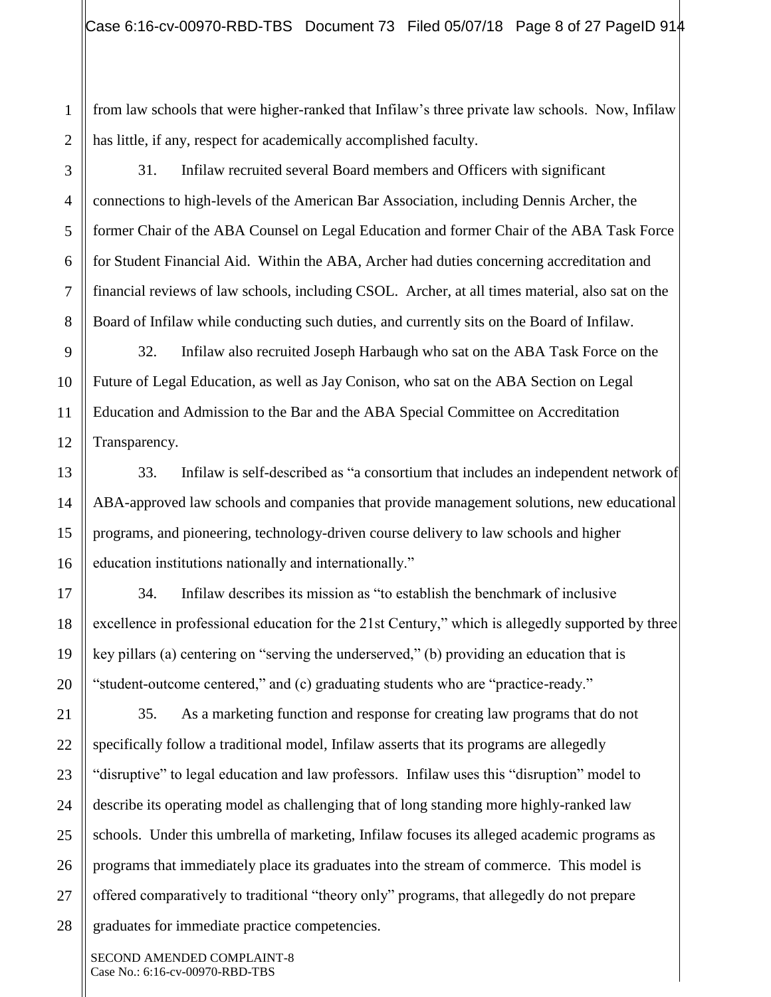from law schools that were higher-ranked that Infilaw's three private law schools. Now, Infilaw has little, if any, respect for academically accomplished faculty.

31. Infilaw recruited several Board members and Officers with significant connections to high-levels of the American Bar Association, including Dennis Archer, the former Chair of the ABA Counsel on Legal Education and former Chair of the ABA Task Force for Student Financial Aid. Within the ABA, Archer had duties concerning accreditation and financial reviews of law schools, including CSOL. Archer, at all times material, also sat on the Board of Infilaw while conducting such duties, and currently sits on the Board of Infilaw.

32. Infilaw also recruited Joseph Harbaugh who sat on the ABA Task Force on the Future of Legal Education, as well as Jay Conison, who sat on the ABA Section on Legal Education and Admission to the Bar and the ABA Special Committee on Accreditation Transparency.

33. Infilaw is self-described as "a consortium that includes an independent network of ABA-approved law schools and companies that provide management solutions, new educational programs, and pioneering, technology-driven course delivery to law schools and higher education institutions nationally and internationally."

34. Infilaw describes its mission as "to establish the benchmark of inclusive excellence in professional education for the 21st Century," which is allegedly supported by three key pillars (a) centering on "serving the underserved," (b) providing an education that is "student-outcome centered," and (c) graduating students who are "practice-ready."

35. As a marketing function and response for creating law programs that do not specifically follow a traditional model, Infilaw asserts that its programs are allegedly "disruptive" to legal education and law professors. Infilaw uses this "disruption" model to describe its operating model as challenging that of long standing more highly-ranked law schools. Under this umbrella of marketing, Infilaw focuses its alleged academic programs as programs that immediately place its graduates into the stream of commerce. This model is offered comparatively to traditional "theory only" programs, that allegedly do not prepare graduates for immediate practice competencies.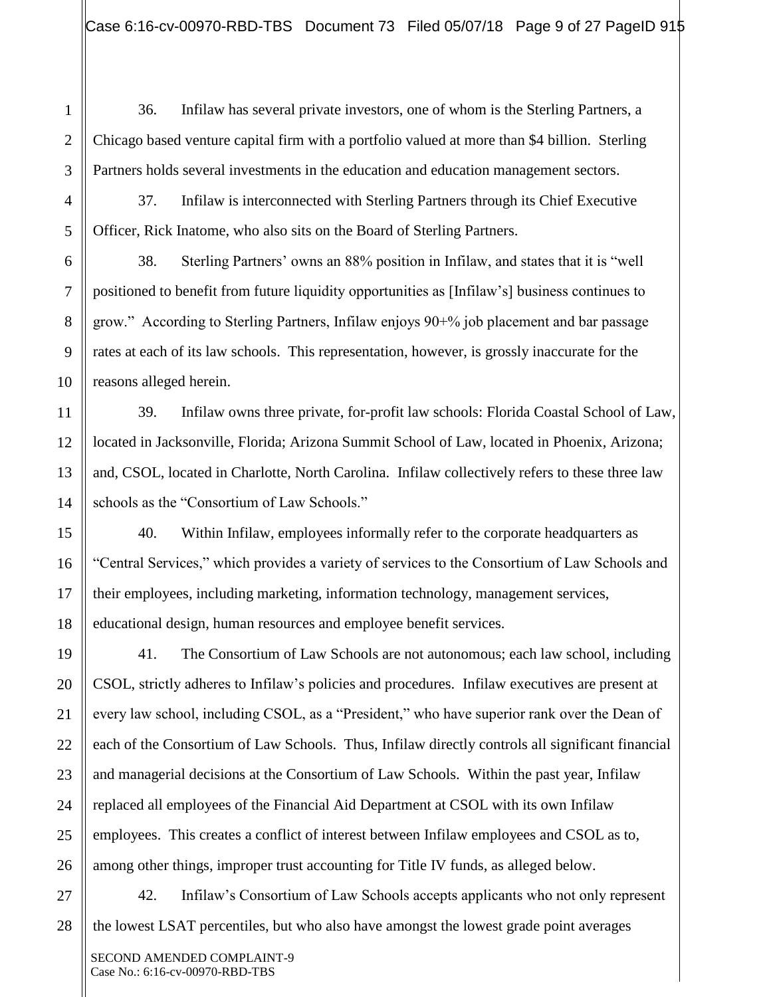36. Infilaw has several private investors, one of whom is the Sterling Partners, a Chicago based venture capital firm with a portfolio valued at more than \$4 billion. Sterling Partners holds several investments in the education and education management sectors.

37. Infilaw is interconnected with Sterling Partners through its Chief Executive Officer, Rick Inatome, who also sits on the Board of Sterling Partners.

38. Sterling Partners' owns an 88% position in Infilaw, and states that it is "well positioned to benefit from future liquidity opportunities as [Infilaw's] business continues to grow." According to Sterling Partners, Infilaw enjoys 90+% job placement and bar passage rates at each of its law schools. This representation, however, is grossly inaccurate for the reasons alleged herein.

39. Infilaw owns three private, for-profit law schools: Florida Coastal School of Law, located in Jacksonville, Florida; Arizona Summit School of Law, located in Phoenix, Arizona; and, CSOL, located in Charlotte, North Carolina. Infilaw collectively refers to these three law schools as the "Consortium of Law Schools."

40. Within Infilaw, employees informally refer to the corporate headquarters as "Central Services," which provides a variety of services to the Consortium of Law Schools and their employees, including marketing, information technology, management services, educational design, human resources and employee benefit services.

41. The Consortium of Law Schools are not autonomous; each law school, including CSOL, strictly adheres to Infilaw's policies and procedures. Infilaw executives are present at every law school, including CSOL, as a "President," who have superior rank over the Dean of each of the Consortium of Law Schools. Thus, Infilaw directly controls all significant financial and managerial decisions at the Consortium of Law Schools. Within the past year, Infilaw replaced all employees of the Financial Aid Department at CSOL with its own Infilaw employees. This creates a conflict of interest between Infilaw employees and CSOL as to, among other things, improper trust accounting for Title IV funds, as alleged below.

42. Infilaw's Consortium of Law Schools accepts applicants who not only represent the lowest LSAT percentiles, but who also have amongst the lowest grade point averages

1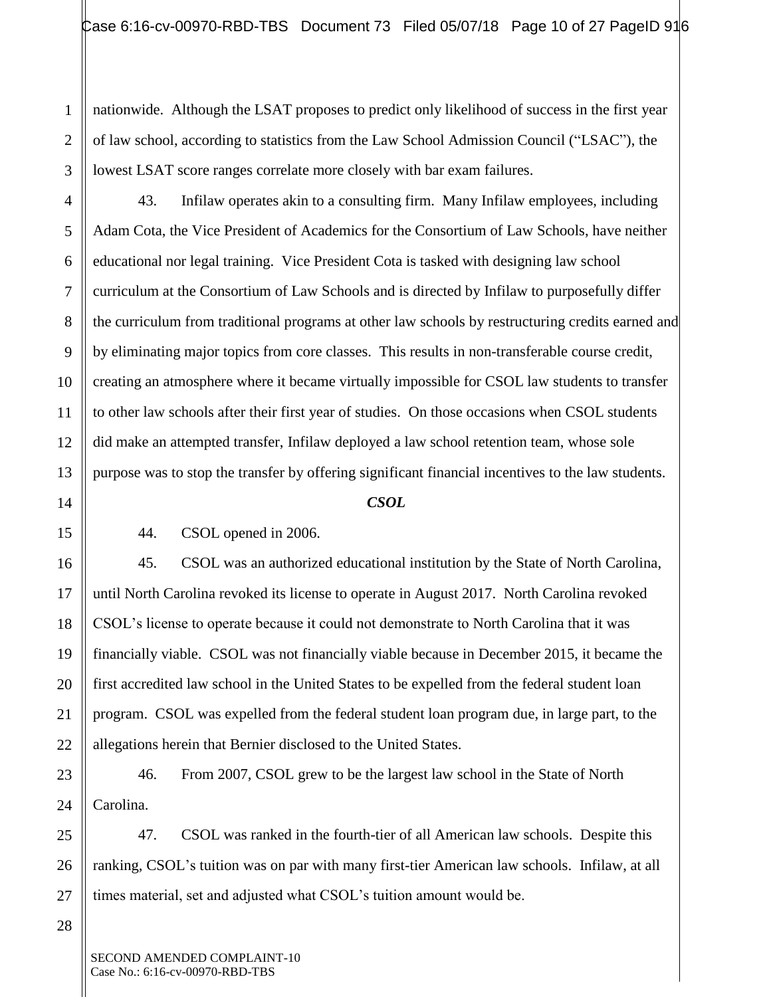nationwide. Although the LSAT proposes to predict only likelihood of success in the first year of law school, according to statistics from the Law School Admission Council ("LSAC"), the lowest LSAT score ranges correlate more closely with bar exam failures.

43. Infilaw operates akin to a consulting firm. Many Infilaw employees, including Adam Cota, the Vice President of Academics for the Consortium of Law Schools, have neither educational nor legal training. Vice President Cota is tasked with designing law school curriculum at the Consortium of Law Schools and is directed by Infilaw to purposefully differ the curriculum from traditional programs at other law schools by restructuring credits earned and by eliminating major topics from core classes. This results in non-transferable course credit, creating an atmosphere where it became virtually impossible for CSOL law students to transfer to other law schools after their first year of studies. On those occasions when CSOL students did make an attempted transfer, Infilaw deployed a law school retention team, whose sole purpose was to stop the transfer by offering significant financial incentives to the law students.

#### *CSOL*

44. CSOL opened in 2006.

45. CSOL was an authorized educational institution by the State of North Carolina, until North Carolina revoked its license to operate in August 2017. North Carolina revoked CSOL's license to operate because it could not demonstrate to North Carolina that it was financially viable. CSOL was not financially viable because in December 2015, it became the first accredited law school in the United States to be expelled from the federal student loan program. CSOL was expelled from the federal student loan program due, in large part, to the allegations herein that Bernier disclosed to the United States.

46. From 2007, CSOL grew to be the largest law school in the State of North Carolina.

47. CSOL was ranked in the fourth-tier of all American law schools. Despite this ranking, CSOL's tuition was on par with many first-tier American law schools. Infilaw, at all times material, set and adjusted what CSOL's tuition amount would be.

SECOND AMENDED COMPLAINT-10 Case No.: 6:16-cv-00970-RBD-TBS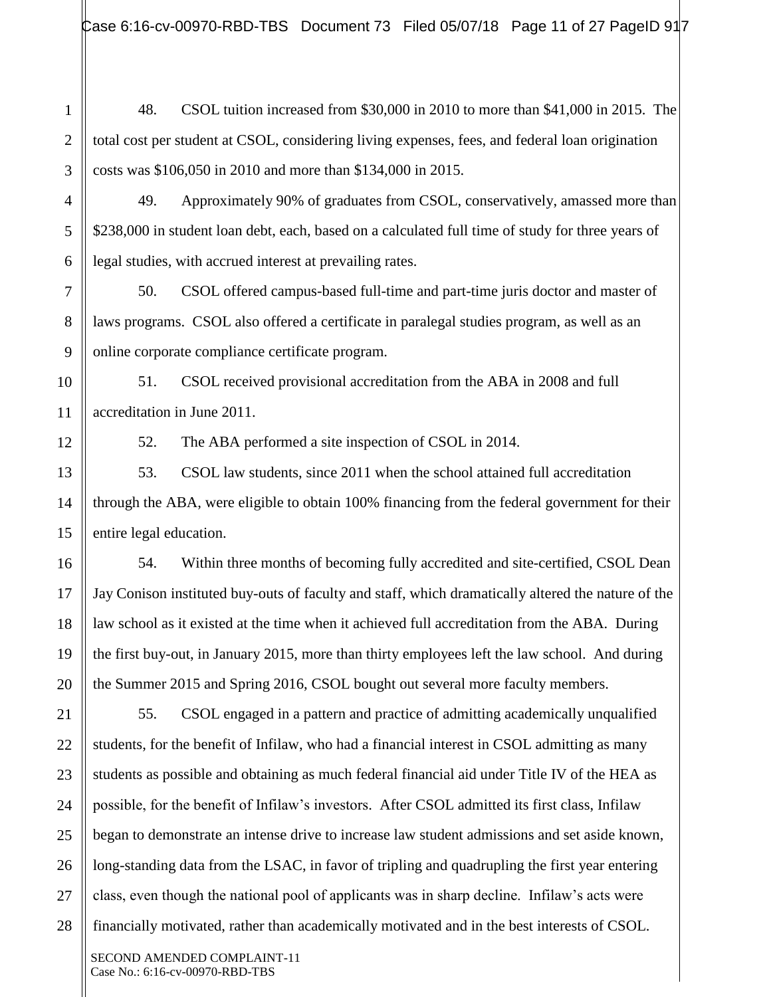Case 6:16-cv-00970-RBD-TBS Document 73 Filed 05/07/18 Page 11 of 27 PageID 917

48. CSOL tuition increased from \$30,000 in 2010 to more than \$41,000 in 2015. The total cost per student at CSOL, considering living expenses, fees, and federal loan origination costs was \$106,050 in 2010 and more than \$134,000 in 2015.

49. Approximately 90% of graduates from CSOL, conservatively, amassed more than \$238,000 in student loan debt, each, based on a calculated full time of study for three years of legal studies, with accrued interest at prevailing rates.

50. CSOL offered campus-based full-time and part-time juris doctor and master of laws programs. CSOL also offered a certificate in paralegal studies program, as well as an online corporate compliance certificate program.

51. CSOL received provisional accreditation from the ABA in 2008 and full accreditation in June 2011.

52. The ABA performed a site inspection of CSOL in 2014.

53. CSOL law students, since 2011 when the school attained full accreditation through the ABA, were eligible to obtain 100% financing from the federal government for their entire legal education.

54. Within three months of becoming fully accredited and site-certified, CSOL Dean Jay Conison instituted buy-outs of faculty and staff, which dramatically altered the nature of the law school as it existed at the time when it achieved full accreditation from the ABA. During the first buy-out, in January 2015, more than thirty employees left the law school. And during the Summer 2015 and Spring 2016, CSOL bought out several more faculty members.

55. CSOL engaged in a pattern and practice of admitting academically unqualified students, for the benefit of Infilaw, who had a financial interest in CSOL admitting as many students as possible and obtaining as much federal financial aid under Title IV of the HEA as possible, for the benefit of Infilaw's investors. After CSOL admitted its first class, Infilaw began to demonstrate an intense drive to increase law student admissions and set aside known, long-standing data from the LSAC, in favor of tripling and quadrupling the first year entering class, even though the national pool of applicants was in sharp decline. Infilaw's acts were financially motivated, rather than academically motivated and in the best interests of CSOL.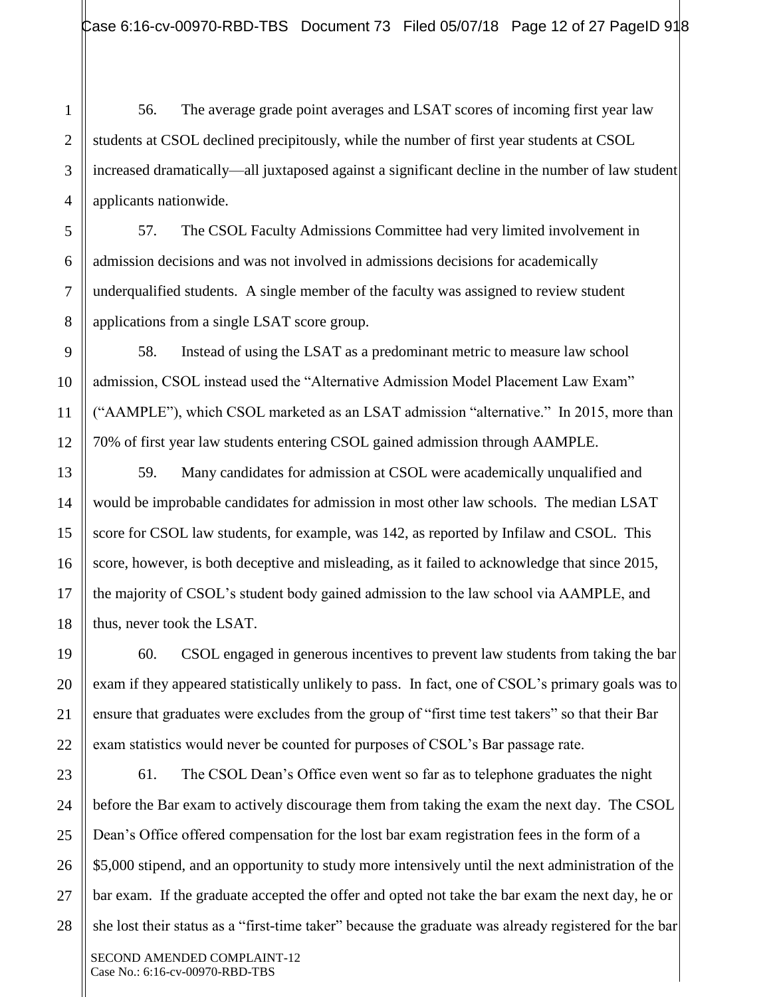56. The average grade point averages and LSAT scores of incoming first year law students at CSOL declined precipitously, while the number of first year students at CSOL increased dramatically—all juxtaposed against a significant decline in the number of law student applicants nationwide.

57. The CSOL Faculty Admissions Committee had very limited involvement in admission decisions and was not involved in admissions decisions for academically underqualified students. A single member of the faculty was assigned to review student applications from a single LSAT score group.

58. Instead of using the LSAT as a predominant metric to measure law school admission, CSOL instead used the "Alternative Admission Model Placement Law Exam" ("AAMPLE"), which CSOL marketed as an LSAT admission "alternative." In 2015, more than 70% of first year law students entering CSOL gained admission through AAMPLE.

59. Many candidates for admission at CSOL were academically unqualified and would be improbable candidates for admission in most other law schools. The median LSAT score for CSOL law students, for example, was 142, as reported by Infilaw and CSOL. This score, however, is both deceptive and misleading, as it failed to acknowledge that since 2015, the majority of CSOL's student body gained admission to the law school via AAMPLE, and thus, never took the LSAT.

60. CSOL engaged in generous incentives to prevent law students from taking the bar exam if they appeared statistically unlikely to pass. In fact, one of CSOL's primary goals was to ensure that graduates were excludes from the group of "first time test takers" so that their Bar exam statistics would never be counted for purposes of CSOL's Bar passage rate.

61. The CSOL Dean's Office even went so far as to telephone graduates the night before the Bar exam to actively discourage them from taking the exam the next day. The CSOL Dean's Office offered compensation for the lost bar exam registration fees in the form of a \$5,000 stipend, and an opportunity to study more intensively until the next administration of the bar exam. If the graduate accepted the offer and opted not take the bar exam the next day, he or she lost their status as a "first-time taker" because the graduate was already registered for the bar

1

SECOND AMENDED COMPLAINT-12 Case No.: 6:16-cv-00970-RBD-TBS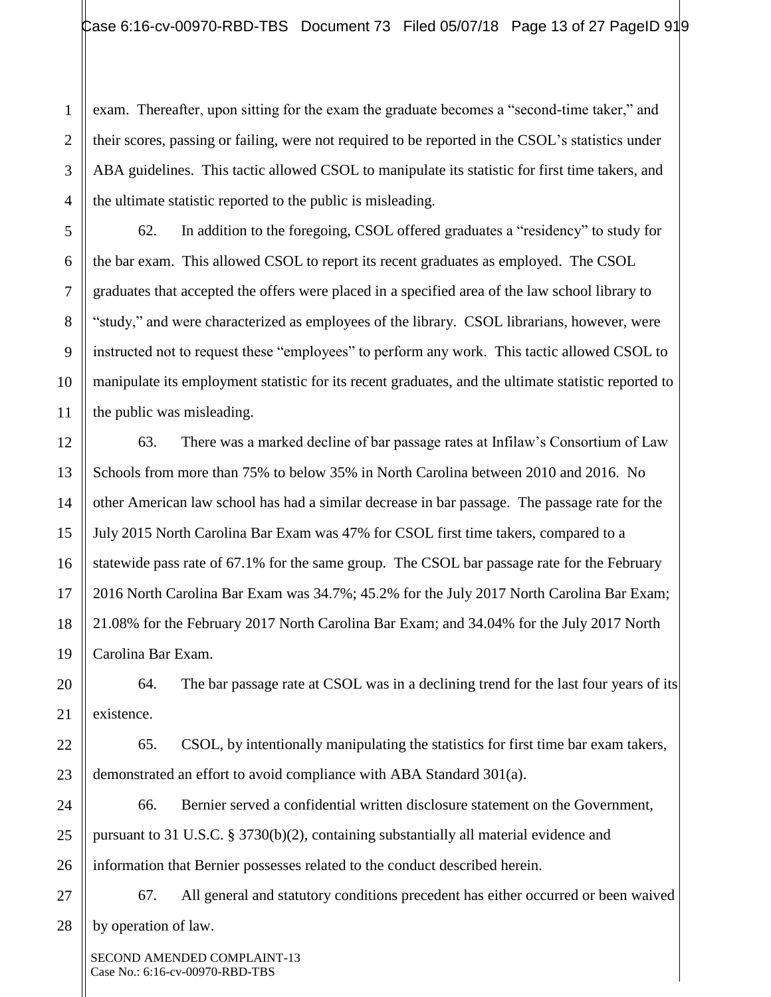exam. Thereafter, upon sitting for the exam the graduate becomes a "second-time taker," and their scores, passing or failing, were not required to be reported in the CSOL's statistics under ABA guidelines. This tactic allowed CSOL to manipulate its statistic for first time takers, and the ultimate statistic reported to the public is misleading.

62. In addition to the foregoing, CSOL offered graduates a "residency" to study for the bar exam. This allowed CSOL to report its recent graduates as employed. The CSOL graduates that accepted the offers were placed in a specified area of the law school library to "study," and were characterized as employees of the library. CSOL librarians, however, were instructed not to request these "employees" to perform any work. This tactic allowed CSOL to manipulate its employment statistic for its recent graduates, and the ultimate statistic reported to the public was misleading.

63. There was a marked decline of bar passage rates at Infilaw's Consortium of Law Schools from more than 75% to below 35% in North Carolina between 2010 and 2016. No other American law school has had a similar decrease in bar passage. The passage rate for the July 2015 North Carolina Bar Exam was 47% for CSOL first time takers, compared to a statewide pass rate of 67.1% for the same group. The CSOL bar passage rate for the February 2016 North Carolina Bar Exam was 34.7%; 45.2% for the July 2017 North Carolina Bar Exam; 21.08% for the February 2017 North Carolina Bar Exam; and 34.04% for the July 2017 North Carolina Bar Exam.

64. The bar passage rate at CSOL was in a declining trend for the last four years of its existence.

65. CSOL, by intentionally manipulating the statistics for first time bar exam takers, demonstrated an effort to avoid compliance with ABA Standard 301(a).

66. Bernier served a confidential written disclosure statement on the Government, pursuant to 31 U.S.C. § 3730(b)(2), containing substantially all material evidence and information that Bernier possesses related to the conduct described herein.

67. All general and statutory conditions precedent has either occurred or been waived by operation of law.

SECOND AMENDED COMPLAINT-13 Case No.: 6:16-cv-00970-RBD-TBS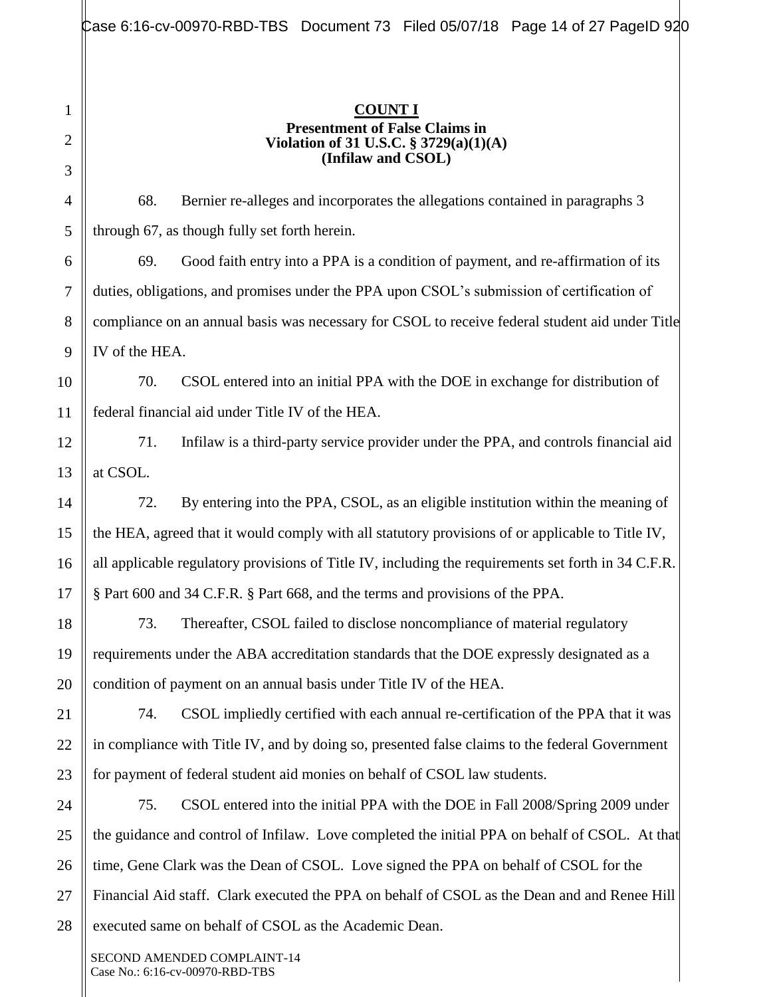#### **COUNT I Presentment of False Claims in Violation of 31 U.S.C. § 3729(a)(1)(A) (Infilaw and CSOL)**

68. Bernier re-alleges and incorporates the allegations contained in paragraphs 3 through 67, as though fully set forth herein.

69. Good faith entry into a PPA is a condition of payment, and re-affirmation of its duties, obligations, and promises under the PPA upon CSOL's submission of certification of compliance on an annual basis was necessary for CSOL to receive federal student aid under Title IV of the HEA.

70. CSOL entered into an initial PPA with the DOE in exchange for distribution of federal financial aid under Title IV of the HEA.

71. Infilaw is a third-party service provider under the PPA, and controls financial aid at CSOL.

72. By entering into the PPA, CSOL, as an eligible institution within the meaning of the HEA, agreed that it would comply with all statutory provisions of or applicable to Title IV, all applicable regulatory provisions of Title IV, including the requirements set forth in 34 C.F.R. § Part 600 and 34 C.F.R. § Part 668, and the terms and provisions of the PPA.

73. Thereafter, CSOL failed to disclose noncompliance of material regulatory requirements under the ABA accreditation standards that the DOE expressly designated as a condition of payment on an annual basis under Title IV of the HEA.

74. CSOL impliedly certified with each annual re-certification of the PPA that it was in compliance with Title IV, and by doing so, presented false claims to the federal Government for payment of federal student aid monies on behalf of CSOL law students.

75. CSOL entered into the initial PPA with the DOE in Fall 2008/Spring 2009 under the guidance and control of Infilaw. Love completed the initial PPA on behalf of CSOL. At that time, Gene Clark was the Dean of CSOL. Love signed the PPA on behalf of CSOL for the Financial Aid staff. Clark executed the PPA on behalf of CSOL as the Dean and and Renee Hill executed same on behalf of CSOL as the Academic Dean.

SECOND AMENDED COMPLAINT-14 Case No.: 6:16-cv-00970-RBD-TBS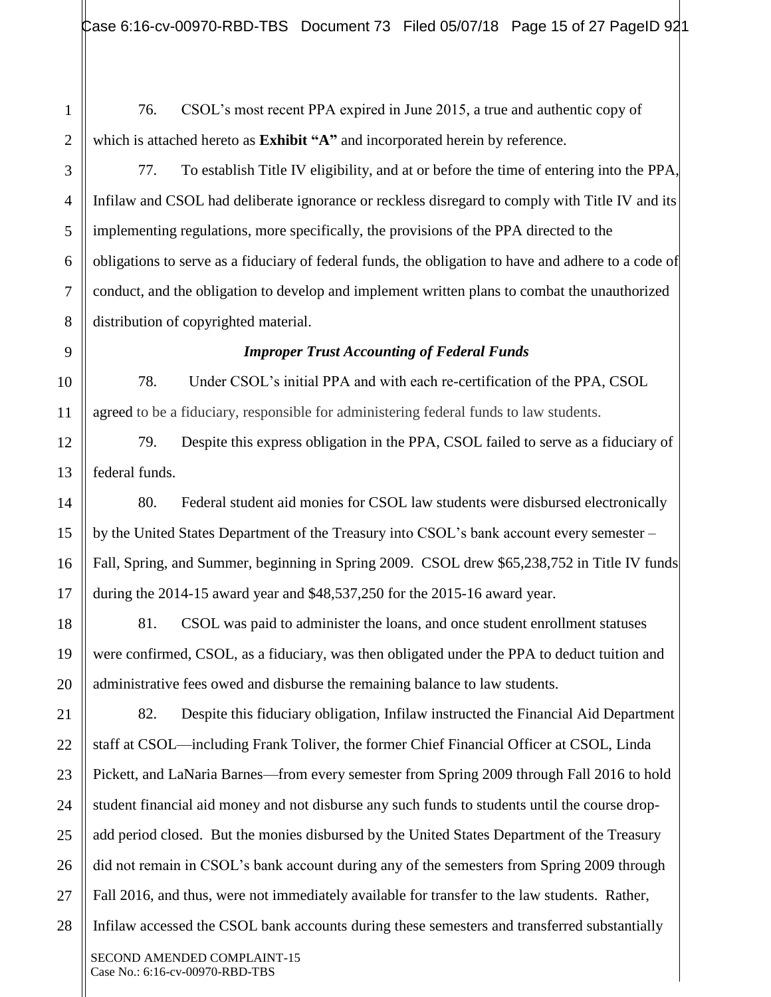17

18

19

20

21

22

23

24

25

26

27

28

76. CSOL's most recent PPA expired in June 2015, a true and authentic copy of which is attached hereto as **Exhibit "A"** and incorporated herein by reference.

77. To establish Title IV eligibility, and at or before the time of entering into the PPA, Infilaw and CSOL had deliberate ignorance or reckless disregard to comply with Title IV and its implementing regulations, more specifically, the provisions of the PPA directed to the obligations to serve as a fiduciary of federal funds, the obligation to have and adhere to a code of conduct, and the obligation to develop and implement written plans to combat the unauthorized distribution of copyrighted material.

#### *Improper Trust Accounting of Federal Funds*

78. Under CSOL's initial PPA and with each re-certification of the PPA, CSOL agreed to be a fiduciary, responsible for administering federal funds to law students.

79. Despite this express obligation in the PPA, CSOL failed to serve as a fiduciary of federal funds.

80. Federal student aid monies for CSOL law students were disbursed electronically by the United States Department of the Treasury into CSOL's bank account every semester – Fall, Spring, and Summer, beginning in Spring 2009. CSOL drew \$65,238,752 in Title IV funds during the 2014-15 award year and \$48,537,250 for the 2015-16 award year.

81. CSOL was paid to administer the loans, and once student enrollment statuses were confirmed, CSOL, as a fiduciary, was then obligated under the PPA to deduct tuition and administrative fees owed and disburse the remaining balance to law students.

82. Despite this fiduciary obligation, Infilaw instructed the Financial Aid Department staff at CSOL—including Frank Toliver, the former Chief Financial Officer at CSOL, Linda Pickett, and LaNaria Barnes—from every semester from Spring 2009 through Fall 2016 to hold student financial aid money and not disburse any such funds to students until the course dropadd period closed. But the monies disbursed by the United States Department of the Treasury did not remain in CSOL's bank account during any of the semesters from Spring 2009 through Fall 2016, and thus, were not immediately available for transfer to the law students. Rather, Infilaw accessed the CSOL bank accounts during these semesters and transferred substantially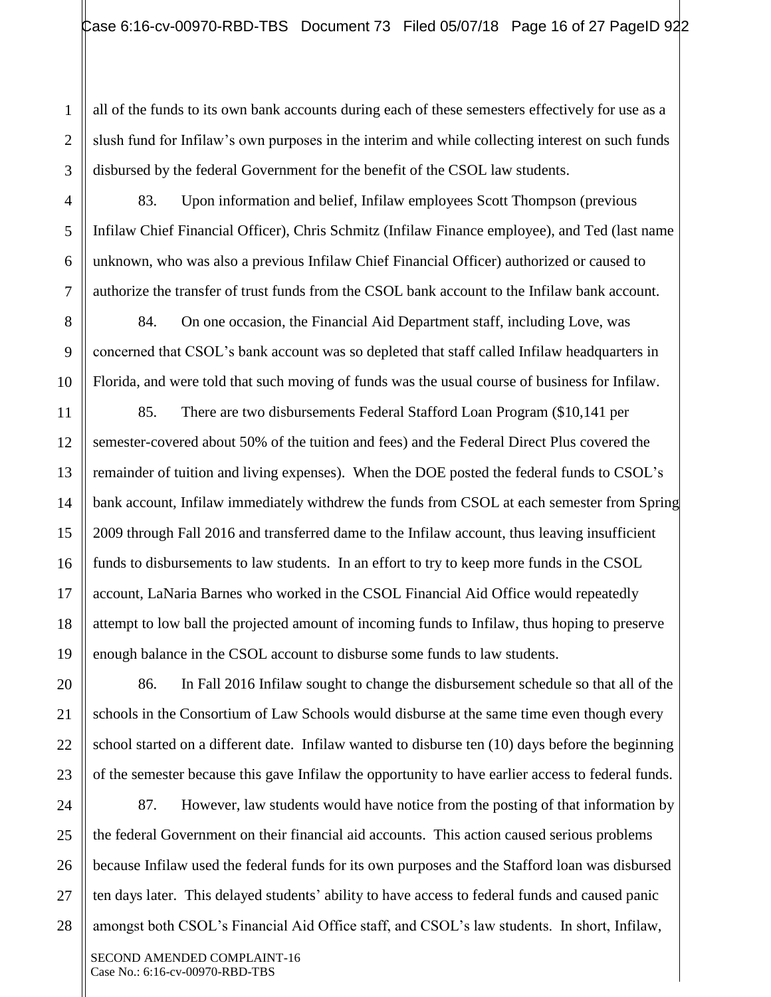all of the funds to its own bank accounts during each of these semesters effectively for use as a slush fund for Infilaw's own purposes in the interim and while collecting interest on such funds disbursed by the federal Government for the benefit of the CSOL law students.

83. Upon information and belief, Infilaw employees Scott Thompson (previous Infilaw Chief Financial Officer), Chris Schmitz (Infilaw Finance employee), and Ted (last name unknown, who was also a previous Infilaw Chief Financial Officer) authorized or caused to authorize the transfer of trust funds from the CSOL bank account to the Infilaw bank account.

84. On one occasion, the Financial Aid Department staff, including Love, was concerned that CSOL's bank account was so depleted that staff called Infilaw headquarters in Florida, and were told that such moving of funds was the usual course of business for Infilaw.

85. There are two disbursements Federal Stafford Loan Program (\$10,141 per semester-covered about 50% of the tuition and fees) and the Federal Direct Plus covered the remainder of tuition and living expenses). When the DOE posted the federal funds to CSOL's bank account, Infilaw immediately withdrew the funds from CSOL at each semester from Spring 2009 through Fall 2016 and transferred dame to the Infilaw account, thus leaving insufficient funds to disbursements to law students. In an effort to try to keep more funds in the CSOL account, LaNaria Barnes who worked in the CSOL Financial Aid Office would repeatedly attempt to low ball the projected amount of incoming funds to Infilaw, thus hoping to preserve enough balance in the CSOL account to disburse some funds to law students.

86. In Fall 2016 Infilaw sought to change the disbursement schedule so that all of the schools in the Consortium of Law Schools would disburse at the same time even though every school started on a different date. Infilaw wanted to disburse ten (10) days before the beginning of the semester because this gave Infilaw the opportunity to have earlier access to federal funds.

87. However, law students would have notice from the posting of that information by the federal Government on their financial aid accounts. This action caused serious problems because Infilaw used the federal funds for its own purposes and the Stafford loan was disbursed ten days later. This delayed students' ability to have access to federal funds and caused panic amongst both CSOL's Financial Aid Office staff, and CSOL's law students. In short, Infilaw,

1

2

3

4

5

6

7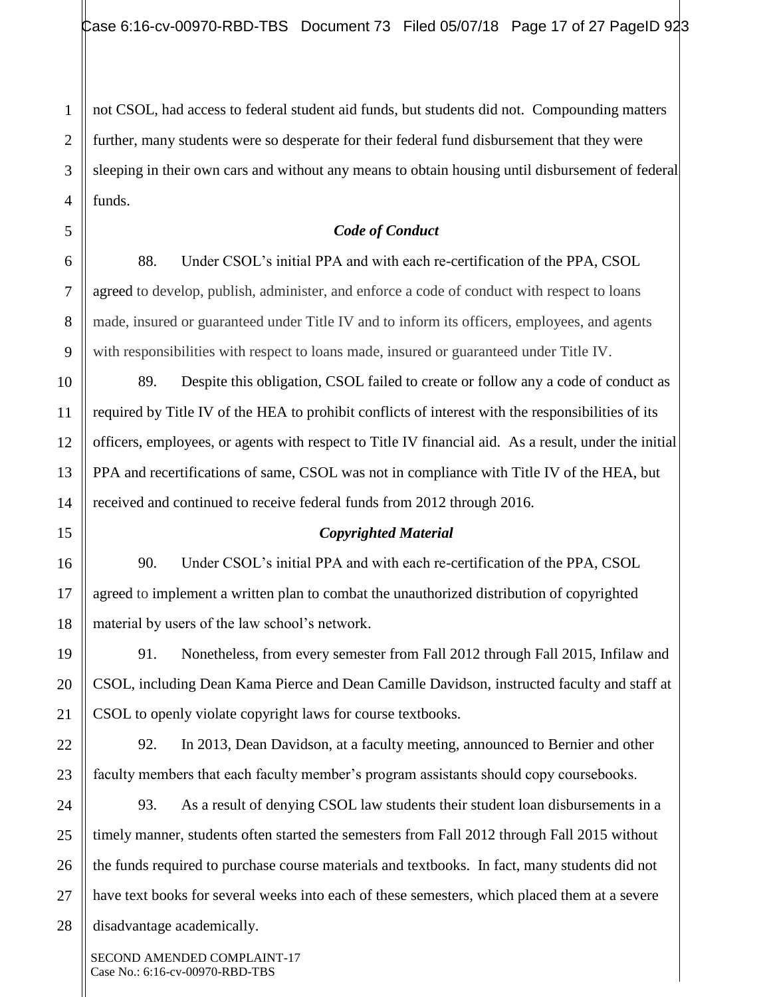not CSOL, had access to federal student aid funds, but students did not. Compounding matters further, many students were so desperate for their federal fund disbursement that they were sleeping in their own cars and without any means to obtain housing until disbursement of federal funds.

## *Code of Conduct*

88. Under CSOL's initial PPA and with each re-certification of the PPA, CSOL agreed to develop, publish, administer, and enforce a code of conduct with respect to loans made, insured or guaranteed under Title IV and to inform its officers, employees, and agents with responsibilities with respect to loans made, insured or guaranteed under Title IV.

89. Despite this obligation, CSOL failed to create or follow any a code of conduct as required by Title IV of the HEA to prohibit conflicts of interest with the responsibilities of its officers, employees, or agents with respect to Title IV financial aid. As a result, under the initial PPA and recertifications of same, CSOL was not in compliance with Title IV of the HEA, but received and continued to receive federal funds from 2012 through 2016.

#### *Copyrighted Material*

90. Under CSOL's initial PPA and with each re-certification of the PPA, CSOL agreed to implement a written plan to combat the unauthorized distribution of copyrighted material by users of the law school's network.

91. Nonetheless, from every semester from Fall 2012 through Fall 2015, Infilaw and CSOL, including Dean Kama Pierce and Dean Camille Davidson, instructed faculty and staff at CSOL to openly violate copyright laws for course textbooks.

92. In 2013, Dean Davidson, at a faculty meeting, announced to Bernier and other faculty members that each faculty member's program assistants should copy coursebooks.

93. As a result of denying CSOL law students their student loan disbursements in a timely manner, students often started the semesters from Fall 2012 through Fall 2015 without the funds required to purchase course materials and textbooks. In fact, many students did not have text books for several weeks into each of these semesters, which placed them at a severe disadvantage academically.

SECOND AMENDED COMPLAINT-17 Case No.: 6:16-cv-00970-RBD-TBS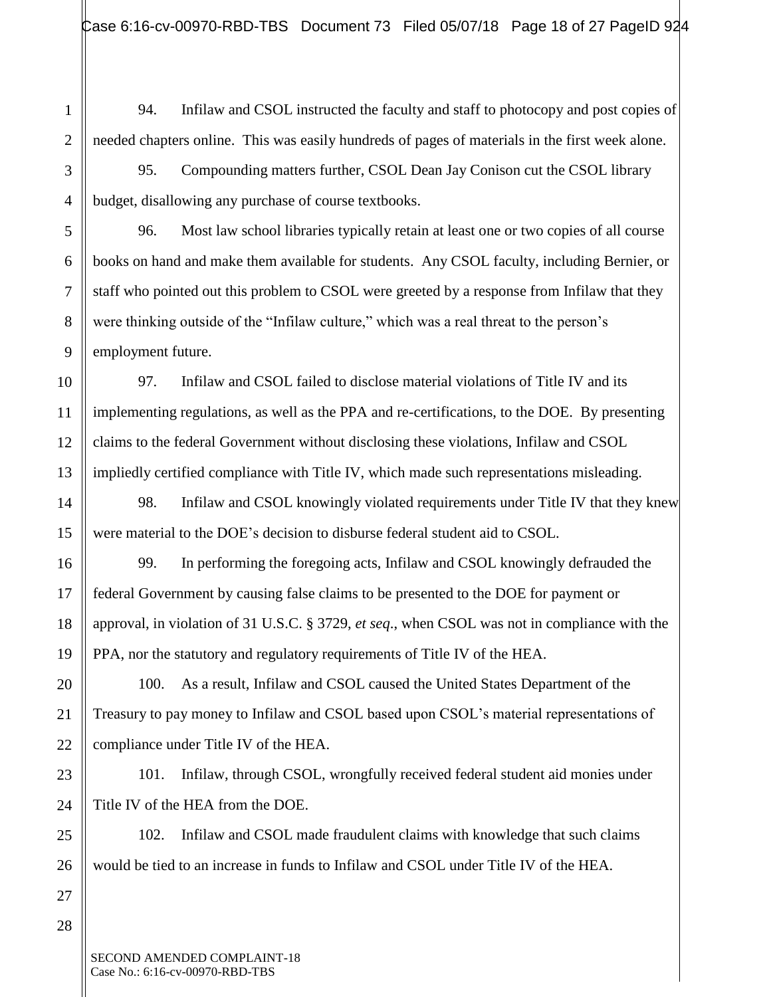- 94. Infilaw and CSOL instructed the faculty and staff to photocopy and post copies of needed chapters online. This was easily hundreds of pages of materials in the first week alone.
- 95. Compounding matters further, CSOL Dean Jay Conison cut the CSOL library budget, disallowing any purchase of course textbooks.

96. Most law school libraries typically retain at least one or two copies of all course books on hand and make them available for students. Any CSOL faculty, including Bernier, or staff who pointed out this problem to CSOL were greeted by a response from Infilaw that they were thinking outside of the "Infilaw culture," which was a real threat to the person's employment future.

97. Infilaw and CSOL failed to disclose material violations of Title IV and its implementing regulations, as well as the PPA and re-certifications, to the DOE. By presenting claims to the federal Government without disclosing these violations, Infilaw and CSOL impliedly certified compliance with Title IV, which made such representations misleading.

98. Infilaw and CSOL knowingly violated requirements under Title IV that they knew were material to the DOE's decision to disburse federal student aid to CSOL.

99. In performing the foregoing acts, Infilaw and CSOL knowingly defrauded the federal Government by causing false claims to be presented to the DOE for payment or approval, in violation of 31 U.S.C. § 3729, *et seq*., when CSOL was not in compliance with the PPA, nor the statutory and regulatory requirements of Title IV of the HEA.

100. As a result, Infilaw and CSOL caused the United States Department of the Treasury to pay money to Infilaw and CSOL based upon CSOL's material representations of compliance under Title IV of the HEA.

101. Infilaw, through CSOL, wrongfully received federal student aid monies under Title IV of the HEA from the DOE.

102. Infilaw and CSOL made fraudulent claims with knowledge that such claims would be tied to an increase in funds to Infilaw and CSOL under Title IV of the HEA.

1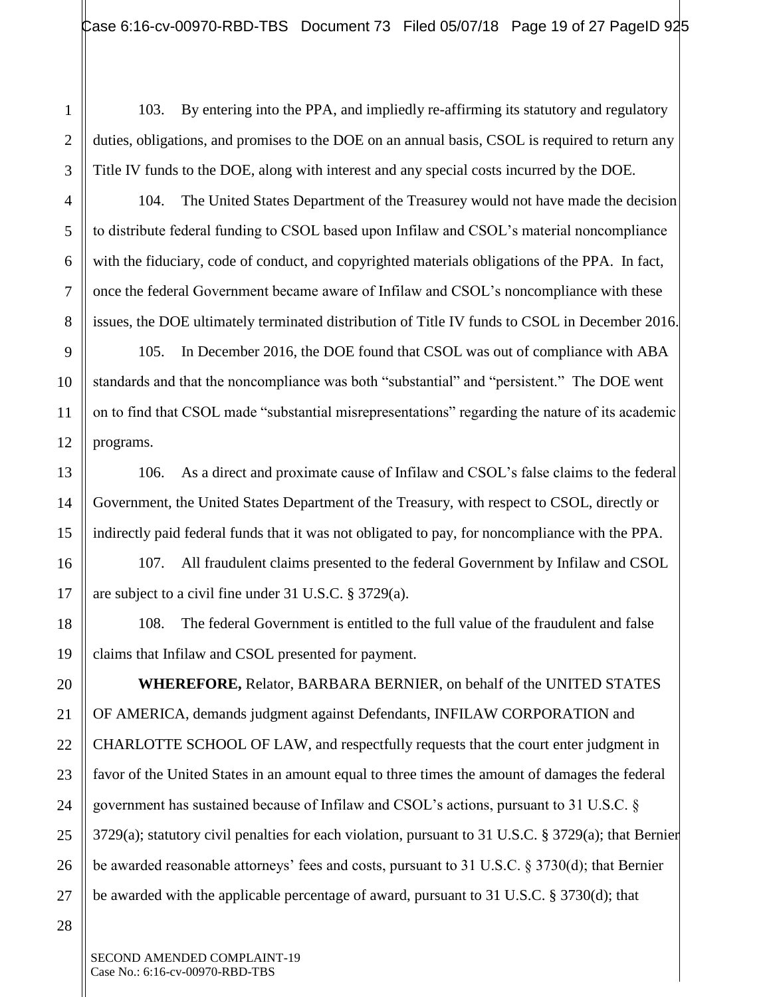103. By entering into the PPA, and impliedly re-affirming its statutory and regulatory duties, obligations, and promises to the DOE on an annual basis, CSOL is required to return any Title IV funds to the DOE, along with interest and any special costs incurred by the DOE.

104. The United States Department of the Treasurey would not have made the decision to distribute federal funding to CSOL based upon Infilaw and CSOL's material noncompliance with the fiduciary, code of conduct, and copyrighted materials obligations of the PPA. In fact, once the federal Government became aware of Infilaw and CSOL's noncompliance with these issues, the DOE ultimately terminated distribution of Title IV funds to CSOL in December 2016.

105. In December 2016, the DOE found that CSOL was out of compliance with ABA standards and that the noncompliance was both "substantial" and "persistent." The DOE went on to find that CSOL made "substantial misrepresentations" regarding the nature of its academic programs.

106. As a direct and proximate cause of Infilaw and CSOL's false claims to the federal Government, the United States Department of the Treasury, with respect to CSOL, directly or indirectly paid federal funds that it was not obligated to pay, for noncompliance with the PPA.

107. All fraudulent claims presented to the federal Government by Infilaw and CSOL are subject to a civil fine under 31 U.S.C. § 3729(a).

108. The federal Government is entitled to the full value of the fraudulent and false claims that Infilaw and CSOL presented for payment.

**WHEREFORE,** Relator, BARBARA BERNIER, on behalf of the UNITED STATES OF AMERICA, demands judgment against Defendants, INFILAW CORPORATION and CHARLOTTE SCHOOL OF LAW, and respectfully requests that the court enter judgment in favor of the United States in an amount equal to three times the amount of damages the federal government has sustained because of Infilaw and CSOL's actions, pursuant to 31 U.S.C. § 3729(a); statutory civil penalties for each violation, pursuant to 31 U.S.C. § 3729(a); that Bernier be awarded reasonable attorneys' fees and costs, pursuant to 31 U.S.C. § 3730(d); that Bernier be awarded with the applicable percentage of award, pursuant to 31 U.S.C. § 3730(d); that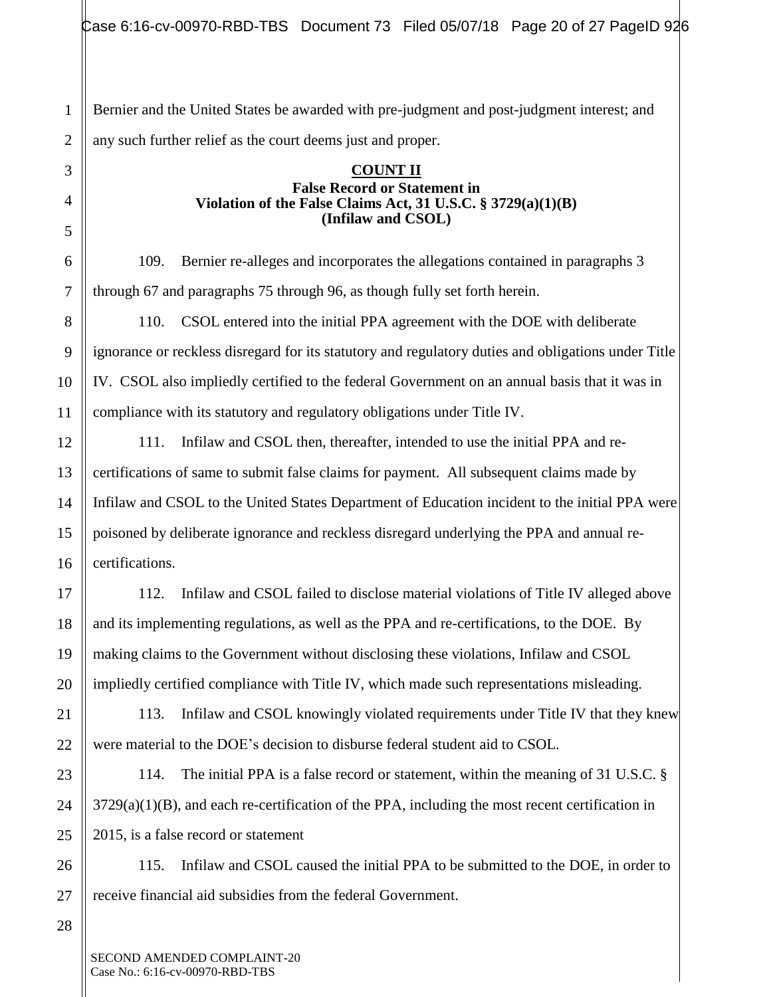1 Bernier and the United States be awarded with pre-judgment and post-judgment interest; and any such further relief as the court deems just and proper.

#### **COUNT II False Record or Statement in Violation of the False Claims Act, 31 U.S.C. § 3729(a)(1)(B) (Infilaw and CSOL)**

109. Bernier re-alleges and incorporates the allegations contained in paragraphs 3 through 67 and paragraphs 75 through 96, as though fully set forth herein.

110. CSOL entered into the initial PPA agreement with the DOE with deliberate ignorance or reckless disregard for its statutory and regulatory duties and obligations under Title IV. CSOL also impliedly certified to the federal Government on an annual basis that it was in compliance with its statutory and regulatory obligations under Title IV.

111. Infilaw and CSOL then, thereafter, intended to use the initial PPA and recertifications of same to submit false claims for payment. All subsequent claims made by Infilaw and CSOL to the United States Department of Education incident to the initial PPA were poisoned by deliberate ignorance and reckless disregard underlying the PPA and annual recertifications.

112. Infilaw and CSOL failed to disclose material violations of Title IV alleged above and its implementing regulations, as well as the PPA and re-certifications, to the DOE. By making claims to the Government without disclosing these violations, Infilaw and CSOL impliedly certified compliance with Title IV, which made such representations misleading.

113. Infilaw and CSOL knowingly violated requirements under Title IV that they knew were material to the DOE's decision to disburse federal student aid to CSOL.

114. The initial PPA is a false record or statement, within the meaning of 31 U.S.C. §  $3729(a)(1)(B)$ , and each re-certification of the PPA, including the most recent certification in 2015, is a false record or statement

115. Infilaw and CSOL caused the initial PPA to be submitted to the DOE, in order to receive financial aid subsidies from the federal Government.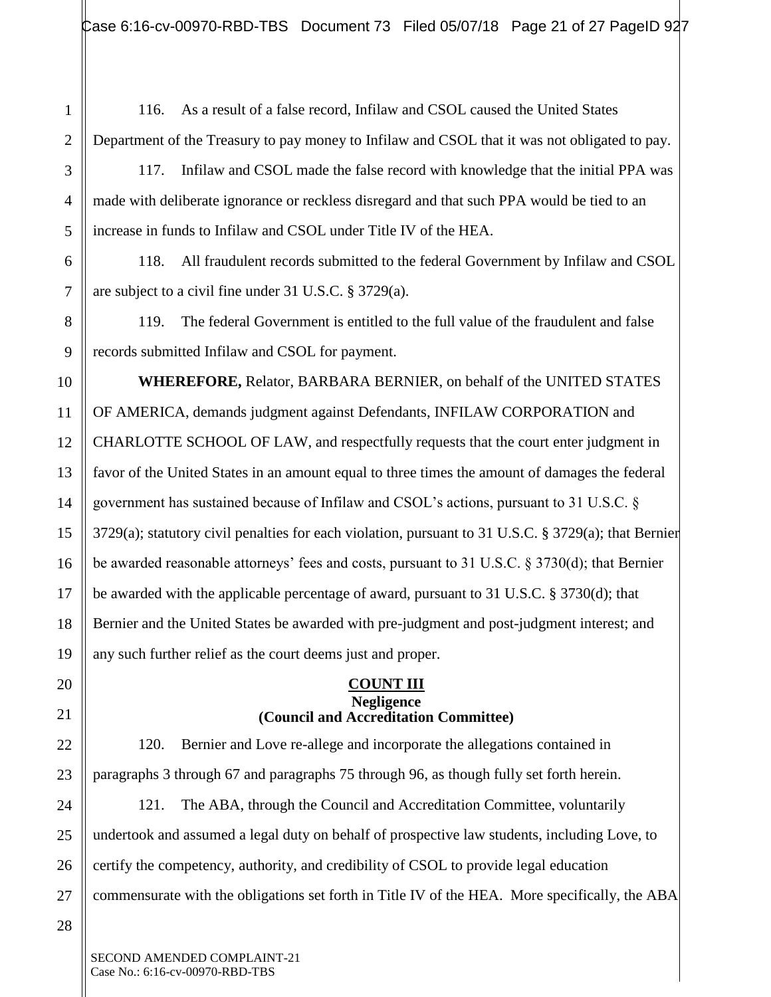1

2

3

4

5

6

7

8

9

10

11

12

13

14

15

16

17

18

19

20

21

22

23

24

25

26

116. As a result of a false record, Infilaw and CSOL caused the United States Department of the Treasury to pay money to Infilaw and CSOL that it was not obligated to pay.

117. Infilaw and CSOL made the false record with knowledge that the initial PPA was made with deliberate ignorance or reckless disregard and that such PPA would be tied to an increase in funds to Infilaw and CSOL under Title IV of the HEA.

118. All fraudulent records submitted to the federal Government by Infilaw and CSOL are subject to a civil fine under 31 U.S.C. § 3729(a).

119. The federal Government is entitled to the full value of the fraudulent and false records submitted Infilaw and CSOL for payment.

**WHEREFORE,** Relator, BARBARA BERNIER, on behalf of the UNITED STATES OF AMERICA, demands judgment against Defendants, INFILAW CORPORATION and CHARLOTTE SCHOOL OF LAW, and respectfully requests that the court enter judgment in favor of the United States in an amount equal to three times the amount of damages the federal government has sustained because of Infilaw and CSOL's actions, pursuant to 31 U.S.C. § 3729(a); statutory civil penalties for each violation, pursuant to 31 U.S.C. § 3729(a); that Bernier be awarded reasonable attorneys' fees and costs, pursuant to 31 U.S.C. § 3730(d); that Bernier be awarded with the applicable percentage of award, pursuant to 31 U.S.C. § 3730(d); that Bernier and the United States be awarded with pre-judgment and post-judgment interest; and any such further relief as the court deems just and proper.

#### **COUNT III Negligence (Council and Accreditation Committee)**

120. Bernier and Love re-allege and incorporate the allegations contained in paragraphs 3 through 67 and paragraphs 75 through 96, as though fully set forth herein. 121. The ABA, through the Council and Accreditation Committee, voluntarily undertook and assumed a legal duty on behalf of prospective law students, including Love, to

27 commensurate with the obligations set forth in Title IV of the HEA. More specifically, the ABA

certify the competency, authority, and credibility of CSOL to provide legal education

28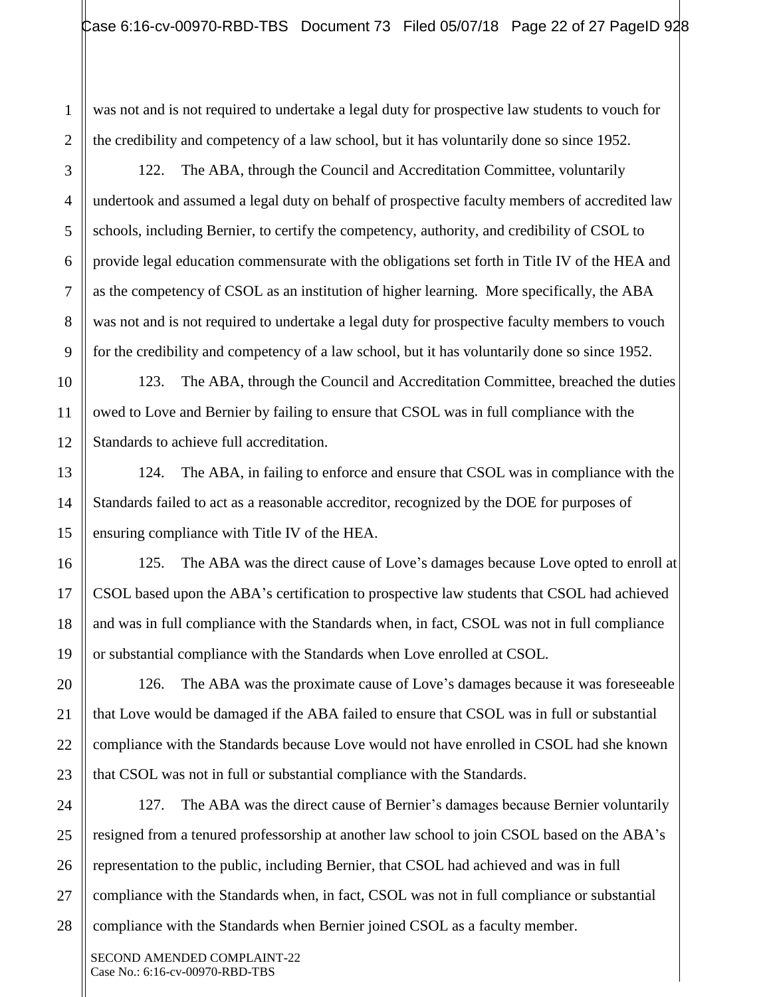was not and is not required to undertake a legal duty for prospective law students to vouch for the credibility and competency of a law school, but it has voluntarily done so since 1952.

122. The ABA, through the Council and Accreditation Committee, voluntarily undertook and assumed a legal duty on behalf of prospective faculty members of accredited law schools, including Bernier, to certify the competency, authority, and credibility of CSOL to provide legal education commensurate with the obligations set forth in Title IV of the HEA and as the competency of CSOL as an institution of higher learning. More specifically, the ABA was not and is not required to undertake a legal duty for prospective faculty members to vouch for the credibility and competency of a law school, but it has voluntarily done so since 1952.

123. The ABA, through the Council and Accreditation Committee, breached the duties owed to Love and Bernier by failing to ensure that CSOL was in full compliance with the Standards to achieve full accreditation.

124. The ABA, in failing to enforce and ensure that CSOL was in compliance with the Standards failed to act as a reasonable accreditor, recognized by the DOE for purposes of ensuring compliance with Title IV of the HEA.

125. The ABA was the direct cause of Love's damages because Love opted to enroll at CSOL based upon the ABA's certification to prospective law students that CSOL had achieved and was in full compliance with the Standards when, in fact, CSOL was not in full compliance or substantial compliance with the Standards when Love enrolled at CSOL.

126. The ABA was the proximate cause of Love's damages because it was foreseeable that Love would be damaged if the ABA failed to ensure that CSOL was in full or substantial compliance with the Standards because Love would not have enrolled in CSOL had she known that CSOL was not in full or substantial compliance with the Standards.

127. The ABA was the direct cause of Bernier's damages because Bernier voluntarily resigned from a tenured professorship at another law school to join CSOL based on the ABA's representation to the public, including Bernier, that CSOL had achieved and was in full compliance with the Standards when, in fact, CSOL was not in full compliance or substantial compliance with the Standards when Bernier joined CSOL as a faculty member.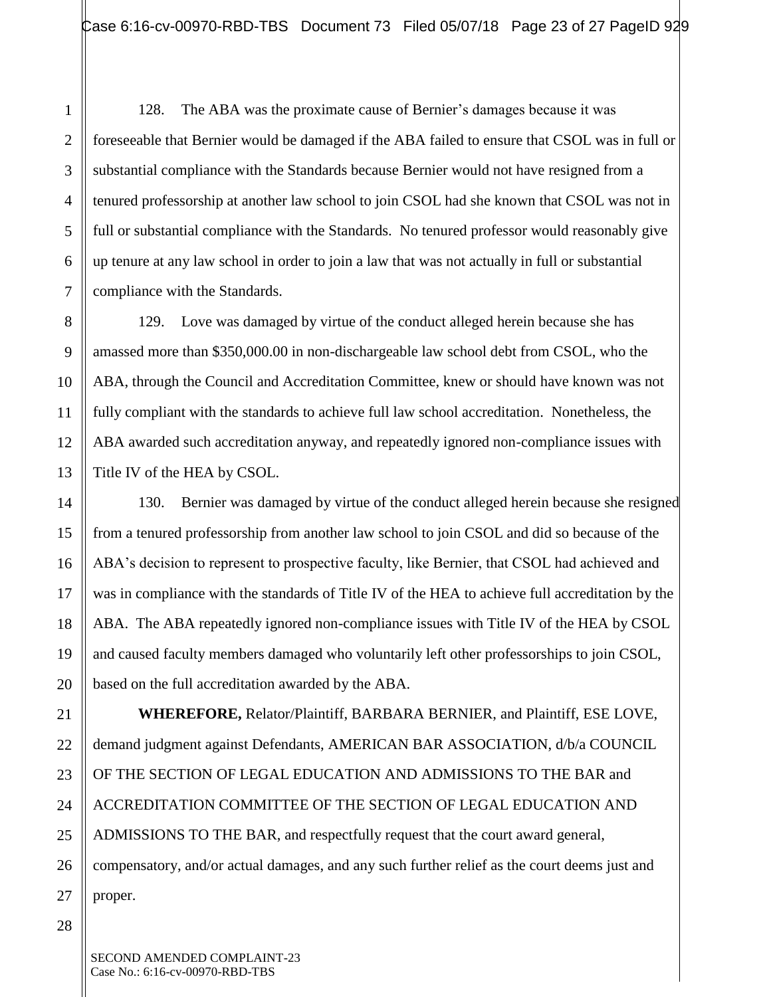128. The ABA was the proximate cause of Bernier's damages because it was foreseeable that Bernier would be damaged if the ABA failed to ensure that CSOL was in full or substantial compliance with the Standards because Bernier would not have resigned from a tenured professorship at another law school to join CSOL had she known that CSOL was not in full or substantial compliance with the Standards. No tenured professor would reasonably give up tenure at any law school in order to join a law that was not actually in full or substantial compliance with the Standards.

129. Love was damaged by virtue of the conduct alleged herein because she has amassed more than \$350,000.00 in non-dischargeable law school debt from CSOL, who the ABA, through the Council and Accreditation Committee, knew or should have known was not fully compliant with the standards to achieve full law school accreditation. Nonetheless, the ABA awarded such accreditation anyway, and repeatedly ignored non-compliance issues with Title IV of the HEA by CSOL.

130. Bernier was damaged by virtue of the conduct alleged herein because she resigned from a tenured professorship from another law school to join CSOL and did so because of the ABA's decision to represent to prospective faculty, like Bernier, that CSOL had achieved and was in compliance with the standards of Title IV of the HEA to achieve full accreditation by the ABA. The ABA repeatedly ignored non-compliance issues with Title IV of the HEA by CSOL and caused faculty members damaged who voluntarily left other professorships to join CSOL, based on the full accreditation awarded by the ABA.

**WHEREFORE,** Relator/Plaintiff, BARBARA BERNIER, and Plaintiff, ESE LOVE, demand judgment against Defendants, AMERICAN BAR ASSOCIATION, d/b/a COUNCIL OF THE SECTION OF LEGAL EDUCATION AND ADMISSIONS TO THE BAR and ACCREDITATION COMMITTEE OF THE SECTION OF LEGAL EDUCATION AND ADMISSIONS TO THE BAR, and respectfully request that the court award general, compensatory, and/or actual damages, and any such further relief as the court deems just and proper.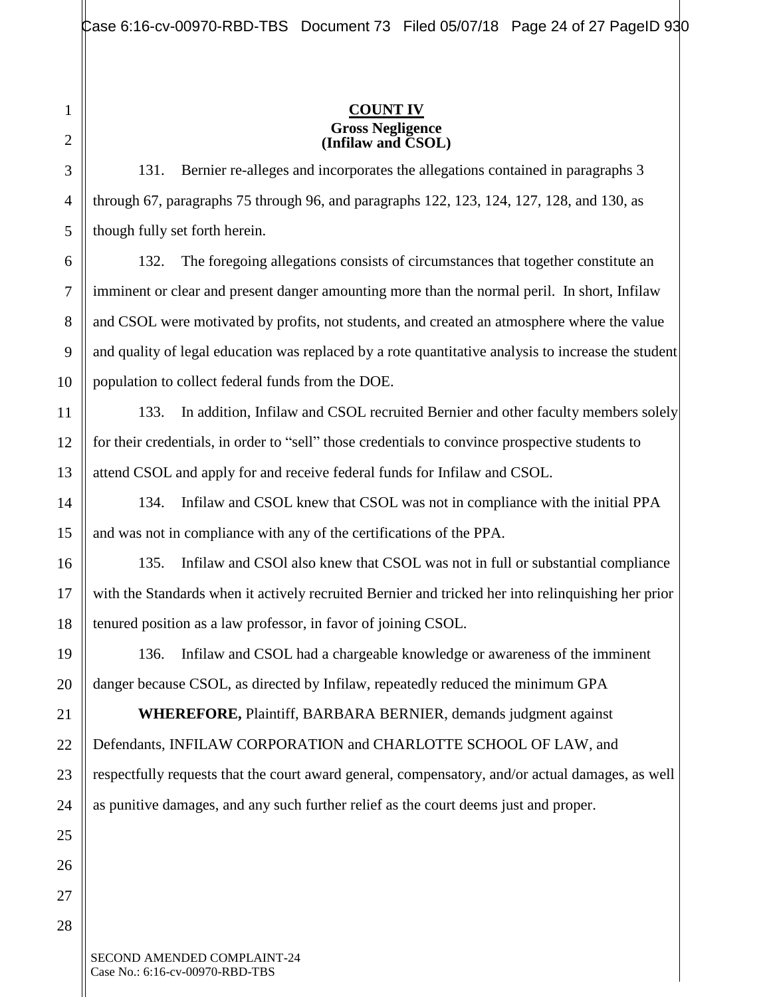#### **COUNT IV Gross Negligence (Infilaw and CSOL)**

131. Bernier re-alleges and incorporates the allegations contained in paragraphs 3 through 67, paragraphs 75 through 96, and paragraphs 122, 123, 124, 127, 128, and 130, as though fully set forth herein.

132. The foregoing allegations consists of circumstances that together constitute an imminent or clear and present danger amounting more than the normal peril. In short, Infilaw and CSOL were motivated by profits, not students, and created an atmosphere where the value and quality of legal education was replaced by a rote quantitative analysis to increase the student population to collect federal funds from the DOE.

133. In addition, Infilaw and CSOL recruited Bernier and other faculty members solely for their credentials, in order to "sell" those credentials to convince prospective students to attend CSOL and apply for and receive federal funds for Infilaw and CSOL.

134. Infilaw and CSOL knew that CSOL was not in compliance with the initial PPA and was not in compliance with any of the certifications of the PPA.

135. Infilaw and CSOl also knew that CSOL was not in full or substantial compliance with the Standards when it actively recruited Bernier and tricked her into relinquishing her prior tenured position as a law professor, in favor of joining CSOL.

136. Infilaw and CSOL had a chargeable knowledge or awareness of the imminent danger because CSOL, as directed by Infilaw, repeatedly reduced the minimum GPA

**WHEREFORE,** Plaintiff, BARBARA BERNIER, demands judgment against Defendants, INFILAW CORPORATION and CHARLOTTE SCHOOL OF LAW, and respectfully requests that the court award general, compensatory, and/or actual damages, as well as punitive damages, and any such further relief as the court deems just and proper.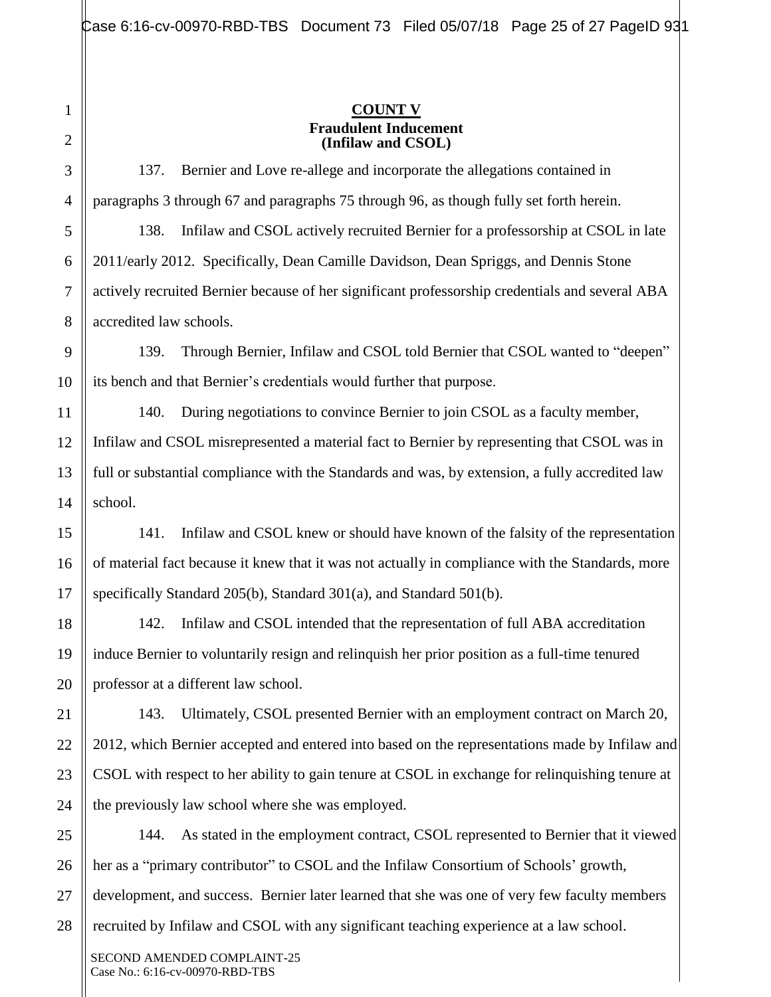#### **COUNT V Fraudulent Inducement (Infilaw and CSOL)**

137. Bernier and Love re-allege and incorporate the allegations contained in paragraphs 3 through 67 and paragraphs 75 through 96, as though fully set forth herein.

138. Infilaw and CSOL actively recruited Bernier for a professorship at CSOL in late 2011/early 2012. Specifically, Dean Camille Davidson, Dean Spriggs, and Dennis Stone actively recruited Bernier because of her significant professorship credentials and several ABA accredited law schools.

139. Through Bernier, Infilaw and CSOL told Bernier that CSOL wanted to "deepen" its bench and that Bernier's credentials would further that purpose.

140. During negotiations to convince Bernier to join CSOL as a faculty member, Infilaw and CSOL misrepresented a material fact to Bernier by representing that CSOL was in full or substantial compliance with the Standards and was, by extension, a fully accredited law school.

141. Infilaw and CSOL knew or should have known of the falsity of the representation of material fact because it knew that it was not actually in compliance with the Standards, more specifically Standard 205(b), Standard 301(a), and Standard 501(b).

142. Infilaw and CSOL intended that the representation of full ABA accreditation induce Bernier to voluntarily resign and relinquish her prior position as a full-time tenured professor at a different law school.

143. Ultimately, CSOL presented Bernier with an employment contract on March 20, 2012, which Bernier accepted and entered into based on the representations made by Infilaw and CSOL with respect to her ability to gain tenure at CSOL in exchange for relinquishing tenure at the previously law school where she was employed.

144. As stated in the employment contract, CSOL represented to Bernier that it viewed her as a "primary contributor" to CSOL and the Infilaw Consortium of Schools' growth, development, and success. Bernier later learned that she was one of very few faculty members recruited by Infilaw and CSOL with any significant teaching experience at a law school.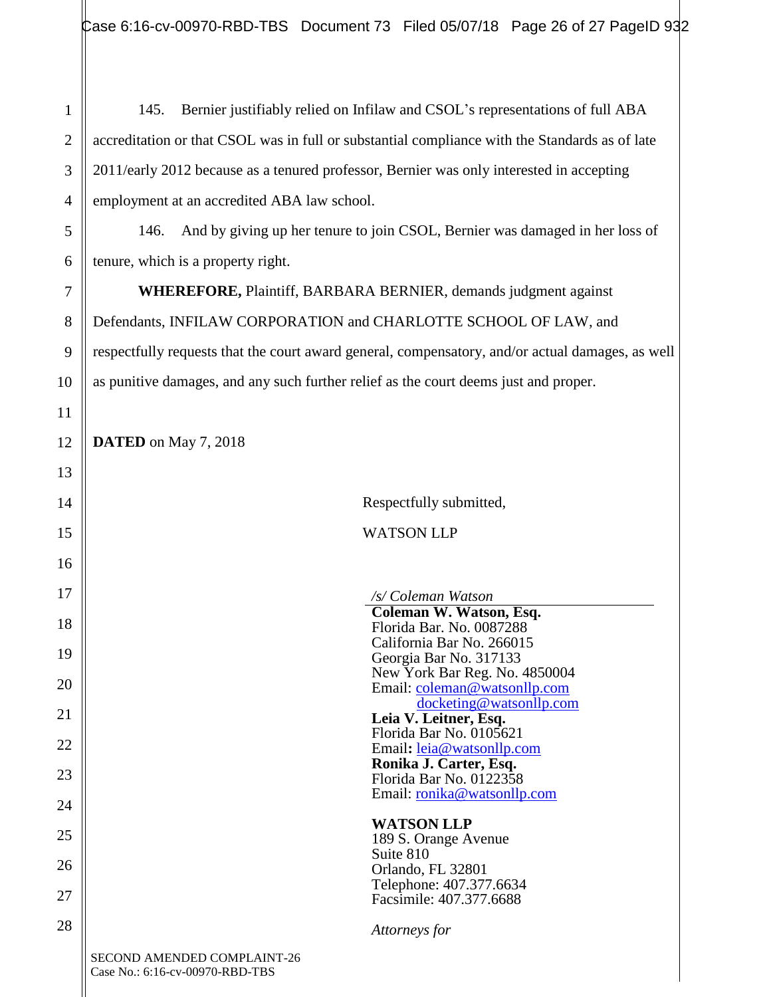145. Bernier justifiably relied on Infilaw and CSOL's representations of full ABA accreditation or that CSOL was in full or substantial compliance with the Standards as of late 2011/early 2012 because as a tenured professor, Bernier was only interested in accepting employment at an accredited ABA law school.

146. And by giving up her tenure to join CSOL, Bernier was damaged in her loss of tenure, which is a property right.

**WHEREFORE,** Plaintiff, BARBARA BERNIER, demands judgment against Defendants, INFILAW CORPORATION and CHARLOTTE SCHOOL OF LAW, and respectfully requests that the court award general, compensatory, and/or actual damages, as well as punitive damages, and any such further relief as the court deems just and proper.

**DATED** on May 7, 2018

1

2

3

4

5

6

7

8

9

10

11

12

| 14 |                                                                | Respectfully submitted,                                       |
|----|----------------------------------------------------------------|---------------------------------------------------------------|
| 15 |                                                                | <b>WATSON LLP</b>                                             |
| 16 |                                                                |                                                               |
| 17 |                                                                | /s/ Coleman Watson                                            |
| 18 |                                                                | Coleman W. Watson, Esq.<br>Florida Bar. No. 0087288           |
| 19 |                                                                | California Bar No. 266015<br>Georgia Bar No. 317133           |
| 20 |                                                                | New York Bar Reg. No. 4850004<br>Email: coleman@watsonllp.com |
| 21 |                                                                | docketing@watsonllp.com<br>Leia V. Leitner, Esq.              |
| 22 |                                                                | Florida Bar No. 0105621<br>Email: leia@watsonllp.com          |
| 23 |                                                                | Ronika J. Carter, Esq.<br>Florida Bar No. 0122358             |
| 24 |                                                                | Email: <u>ronika@watsonllp.com</u>                            |
| 25 |                                                                | <b>WATSON LLP</b><br>189 S. Orange Avenue                     |
| 26 |                                                                | Suite 810                                                     |
| 27 |                                                                | Orlando, FL 32801<br>Telephone: 407.377.6634                  |
|    |                                                                | Facsimile: 407.377.6688                                       |
| 28 |                                                                | Attorneys for                                                 |
|    | SECOND AMENDED COMPLAINT-26<br>Case No.: 6:16-cv-00970-RBD-TBS |                                                               |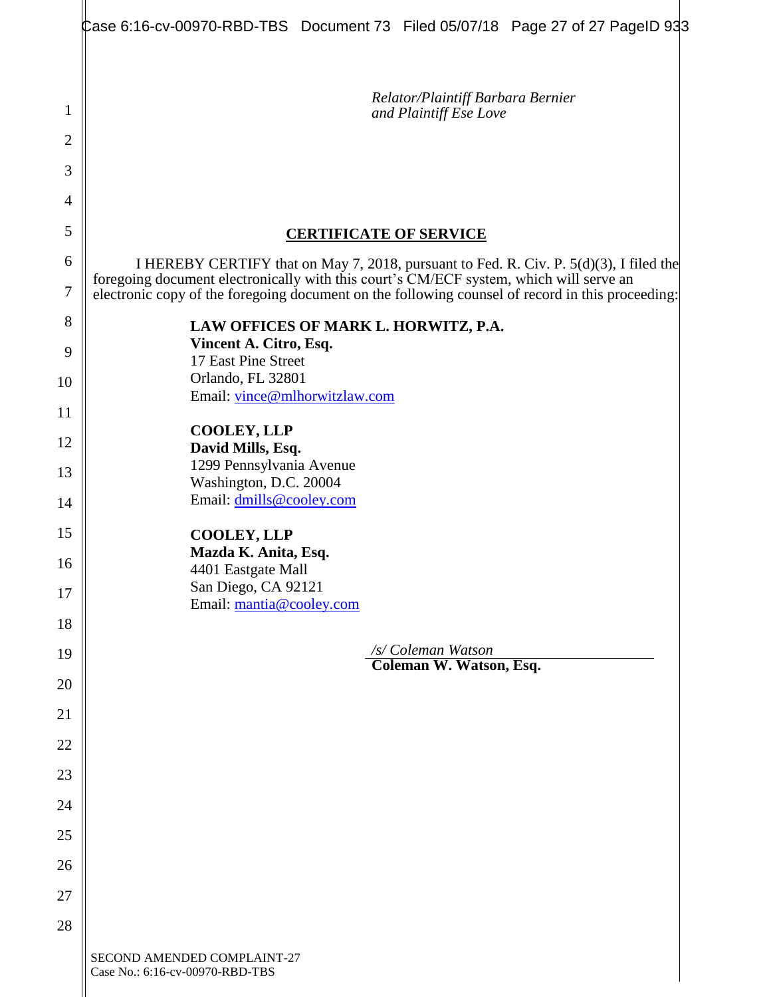|                     | Case 6:16-cv-00970-RBD-TBS Document 73 Filed 05/07/18 Page 27 of 27 PageID 933                                                                                                                                                                                                       |
|---------------------|--------------------------------------------------------------------------------------------------------------------------------------------------------------------------------------------------------------------------------------------------------------------------------------|
| 1<br>$\overline{2}$ | Relator/Plaintiff Barbara Bernier<br>and Plaintiff Ese Love                                                                                                                                                                                                                          |
| 3<br>4              |                                                                                                                                                                                                                                                                                      |
| 5                   |                                                                                                                                                                                                                                                                                      |
| 6                   | <b>CERTIFICATE OF SERVICE</b>                                                                                                                                                                                                                                                        |
| $\overline{7}$      | I HEREBY CERTIFY that on May 7, 2018, pursuant to Fed. R. Civ. P. 5(d)(3), I filed the<br>foregoing document electronically with this court's CM/ECF system, which will serve an<br>electronic copy of the foregoing document on the following counsel of record in this proceeding: |
| 8                   | LAW OFFICES OF MARK L. HORWITZ, P.A.                                                                                                                                                                                                                                                 |
| 9                   | Vincent A. Citro, Esq.<br>17 East Pine Street                                                                                                                                                                                                                                        |
| 10                  | Orlando, FL 32801<br>Email: vince@mlhorwitzlaw.com                                                                                                                                                                                                                                   |
| 11                  |                                                                                                                                                                                                                                                                                      |
| 12                  | <b>COOLEY, LLP</b><br>David Mills, Esq.                                                                                                                                                                                                                                              |
| 13                  | 1299 Pennsylvania Avenue<br>Washington, D.C. 20004                                                                                                                                                                                                                                   |
| 14                  | Email: dmills@cooley.com                                                                                                                                                                                                                                                             |
| 15                  | <b>COOLEY, LLP</b><br>Mazda K. Anita, Esq.                                                                                                                                                                                                                                           |
| 16                  | 4401 Eastgate Mall<br>San Diego, CA 92121                                                                                                                                                                                                                                            |
| 17                  | Email: mantia@cooley.com                                                                                                                                                                                                                                                             |
| 18                  | /s/ Coleman Watson                                                                                                                                                                                                                                                                   |
| 19                  | Coleman W. Watson, Esq.                                                                                                                                                                                                                                                              |
| 20                  |                                                                                                                                                                                                                                                                                      |
| 21<br>22            |                                                                                                                                                                                                                                                                                      |
| 23                  |                                                                                                                                                                                                                                                                                      |
| 24                  |                                                                                                                                                                                                                                                                                      |
| 25                  |                                                                                                                                                                                                                                                                                      |
| 26                  |                                                                                                                                                                                                                                                                                      |
| 27                  |                                                                                                                                                                                                                                                                                      |
| 28                  |                                                                                                                                                                                                                                                                                      |
|                     | SECOND AMENDED COMPLAINT-27<br>Case No.: 6:16-cv-00970-RBD-TBS                                                                                                                                                                                                                       |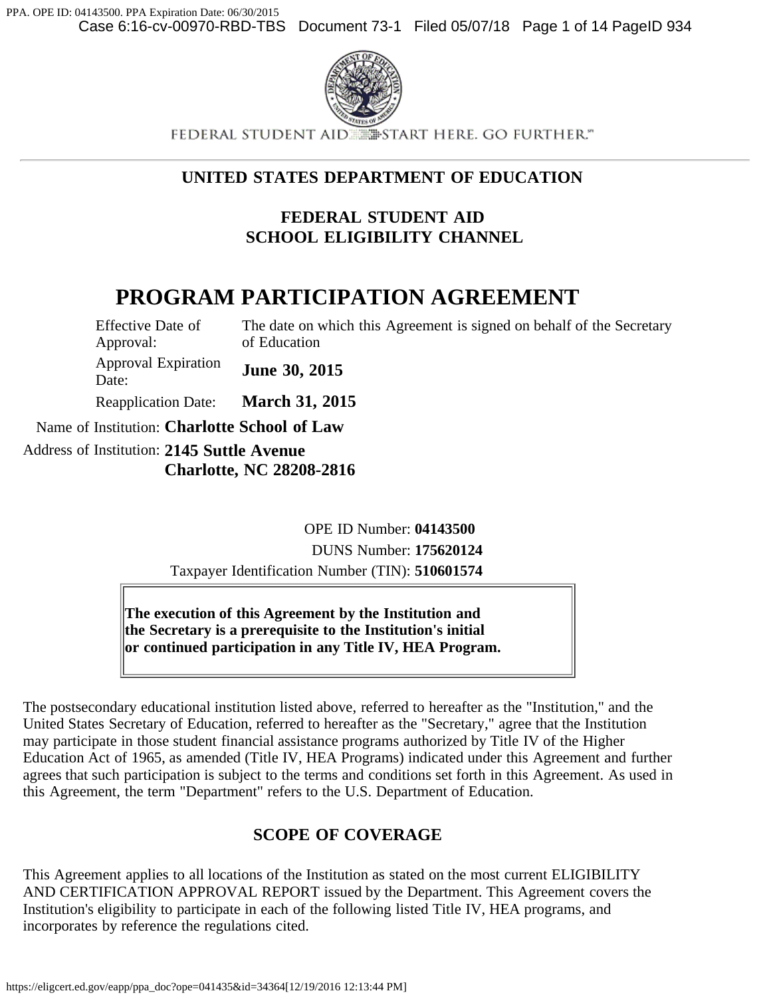

FEDERAL STUDENT AID **ESTART HERE. GO FURTHER."** 

## **UNITED STATES DEPARTMENT OF EDUCATION**

## **FEDERAL STUDENT AID SCHOOL ELIGIBILITY CHANNEL**

# **PROGRAM PARTICIPATION AGREEMENT**

Effective Date of Approval: The date on which this Agreement is signed on behalf of the Secretary of Education Approval Expiration Approval Expiration **June 30, 2015** Reapplication Date: **March 31, 2015** Name of Institution: **Charlotte School of Law** Address of Institution: **2145 Suttle Avenue Charlotte, NC 28208-2816**

> OPE ID Number: **04143500** DUNS Number: **175620124** Taxpayer Identification Number (TIN): **510601574**

**The execution of this Agreement by the Institution and the Secretary is a prerequisite to the Institution's initial or continued participation in any Title IV, HEA Program.**

The postsecondary educational institution listed above, referred to hereafter as the "Institution," and the United States Secretary of Education, referred to hereafter as the "Secretary," agree that the Institution may participate in those student financial assistance programs authorized by Title IV of the Higher Education Act of 1965, as amended (Title IV, HEA Programs) indicated under this Agreement and further agrees that such participation is subject to the terms and conditions set forth in this Agreement. As used in this Agreement, the term "Department" refers to the U.S. Department of Education.

## **SCOPE OF COVERAGE**

This Agreement applies to all locations of the Institution as stated on the most current ELIGIBILITY AND CERTIFICATION APPROVAL REPORT issued by the Department. This Agreement covers the Institution's eligibility to participate in each of the following listed Title IV, HEA programs, and incorporates by reference the regulations cited.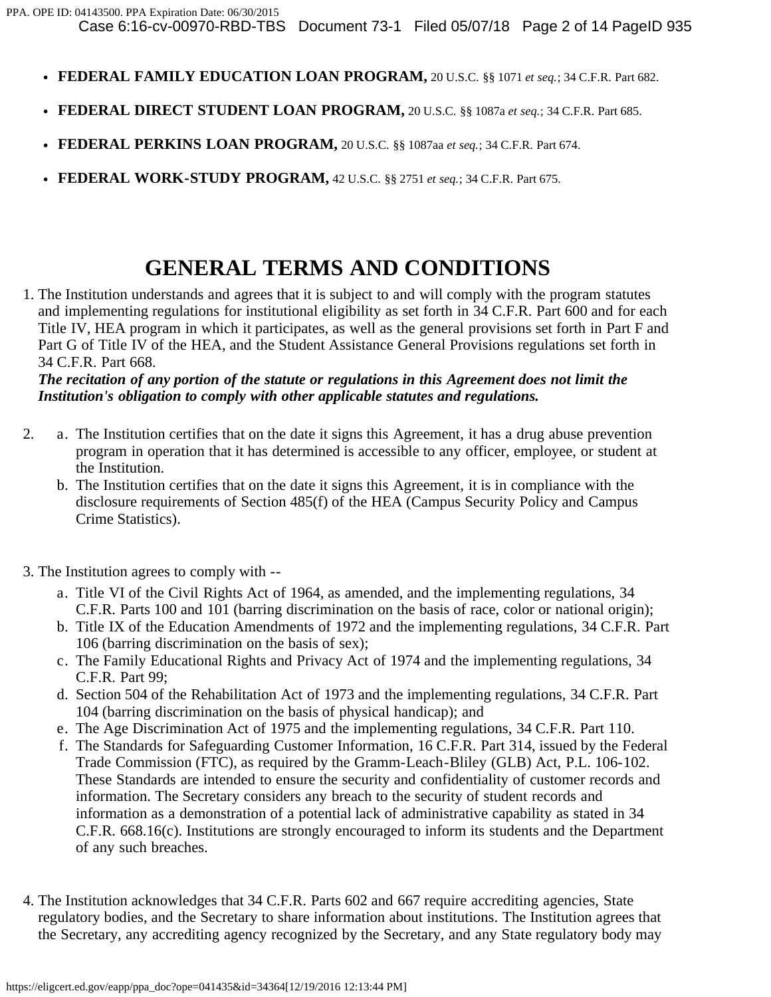- **FEDERAL FAMILY EDUCATION LOAN PROGRAM,** 20 U.S.C. §§ 1071 *et seq.*; 34 C.F.R. Part 682.
- **FEDERAL DIRECT STUDENT LOAN PROGRAM,** 20 U.S.C. §§ 1087a *et seq.*; 34 C.F.R. Part 685.
- **FEDERAL PERKINS LOAN PROGRAM,** 20 U.S.C. §§ 1087aa *et seq.*; 34 C.F.R. Part 674.
- **FEDERAL WORK-STUDY PROGRAM,** 42 U.S.C. §§ 2751 *et seq.*; 34 C.F.R. Part 675.

# **GENERAL TERMS AND CONDITIONS**

1. The Institution understands and agrees that it is subject to and will comply with the program statutes and implementing regulations for institutional eligibility as set forth in 34 C.F.R. Part 600 and for each Title IV, HEA program in which it participates, as well as the general provisions set forth in Part F and Part G of Title IV of the HEA, and the Student Assistance General Provisions regulations set forth in 34 C.F.R. Part 668.

#### *The recitation of any portion of the statute or regulations in this Agreement does not limit the Institution's obligation to comply with other applicable statutes and regulations.*

- 2. a. The Institution certifies that on the date it signs this Agreement, it has a drug abuse prevention program in operation that it has determined is accessible to any officer, employee, or student at the Institution.
	- b. The Institution certifies that on the date it signs this Agreement, it is in compliance with the disclosure requirements of Section 485(f) of the HEA (Campus Security Policy and Campus Crime Statistics).
- 3. The Institution agrees to comply with
	- a. Title VI of the Civil Rights Act of 1964, as amended, and the implementing regulations, 34 C.F.R. Parts 100 and 101 (barring discrimination on the basis of race, color or national origin);
	- b. Title IX of the Education Amendments of 1972 and the implementing regulations, 34 C.F.R. Part 106 (barring discrimination on the basis of sex);
	- c. The Family Educational Rights and Privacy Act of 1974 and the implementing regulations, 34 C.F.R. Part 99;
	- d. Section 504 of the Rehabilitation Act of 1973 and the implementing regulations, 34 C.F.R. Part 104 (barring discrimination on the basis of physical handicap); and
	- e. The Age Discrimination Act of 1975 and the implementing regulations, 34 C.F.R. Part 110.
	- f. The Standards for Safeguarding Customer Information, 16 C.F.R. Part 314, issued by the Federal Trade Commission (FTC), as required by the Gramm-Leach-Bliley (GLB) Act, P.L. 106-102. These Standards are intended to ensure the security and confidentiality of customer records and information. The Secretary considers any breach to the security of student records and information as a demonstration of a potential lack of administrative capability as stated in 34 C.F.R. 668.16(c). Institutions are strongly encouraged to inform its students and the Department of any such breaches.
- 4. The Institution acknowledges that 34 C.F.R. Parts 602 and 667 require accrediting agencies, State regulatory bodies, and the Secretary to share information about institutions. The Institution agrees that the Secretary, any accrediting agency recognized by the Secretary, and any State regulatory body may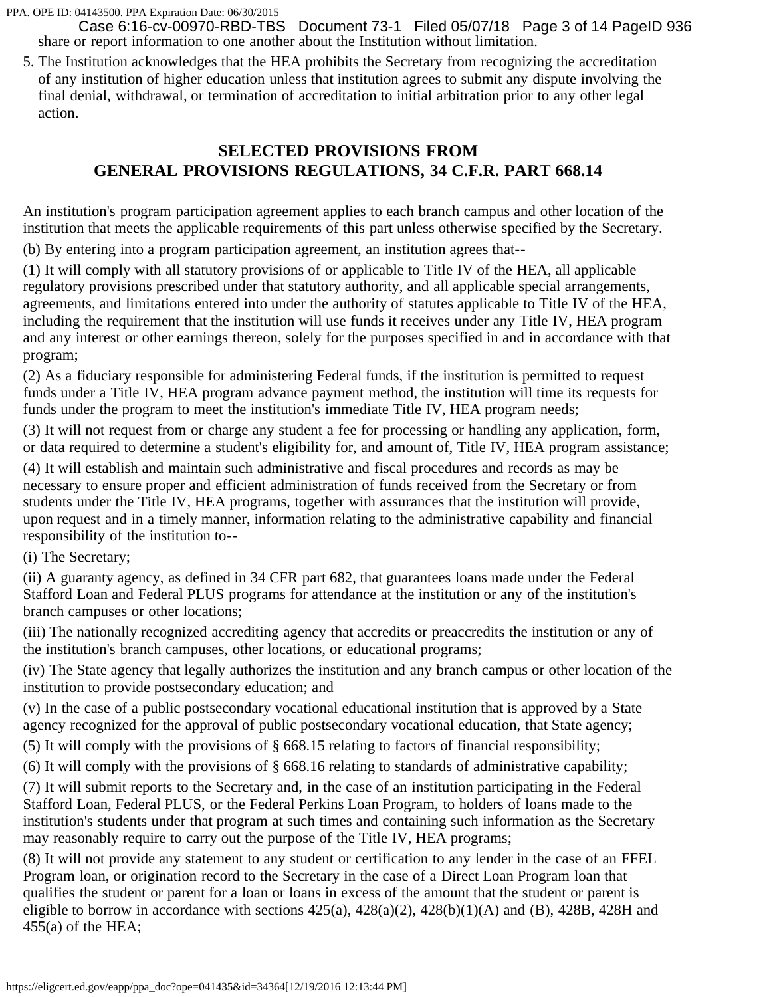share or report information to one another about the Institution without limitation. Case 6:16-cv-00970-RBD-TBS Document 73-1 Filed 05/07/18 Page 3 of 14 PageID 936

5. The Institution acknowledges that the HEA prohibits the Secretary from recognizing the accreditation of any institution of higher education unless that institution agrees to submit any dispute involving the final denial, withdrawal, or termination of accreditation to initial arbitration prior to any other legal action.

## **SELECTED PROVISIONS FROM GENERAL PROVISIONS REGULATIONS, 34 C.F.R. PART 668.14**

An institution's program participation agreement applies to each branch campus and other location of the institution that meets the applicable requirements of this part unless otherwise specified by the Secretary.

(b) By entering into a program participation agreement, an institution agrees that--

(1) It will comply with all statutory provisions of or applicable to Title IV of the HEA, all applicable regulatory provisions prescribed under that statutory authority, and all applicable special arrangements, agreements, and limitations entered into under the authority of statutes applicable to Title IV of the HEA, including the requirement that the institution will use funds it receives under any Title IV, HEA program and any interest or other earnings thereon, solely for the purposes specified in and in accordance with that program;

(2) As a fiduciary responsible for administering Federal funds, if the institution is permitted to request funds under a Title IV, HEA program advance payment method, the institution will time its requests for funds under the program to meet the institution's immediate Title IV, HEA program needs;

(3) It will not request from or charge any student a fee for processing or handling any application, form, or data required to determine a student's eligibility for, and amount of, Title IV, HEA program assistance;

(4) It will establish and maintain such administrative and fiscal procedures and records as may be necessary to ensure proper and efficient administration of funds received from the Secretary or from students under the Title IV, HEA programs, together with assurances that the institution will provide, upon request and in a timely manner, information relating to the administrative capability and financial responsibility of the institution to--

(i) The Secretary;

(ii) A guaranty agency, as defined in 34 CFR part 682, that guarantees loans made under the Federal Stafford Loan and Federal PLUS programs for attendance at the institution or any of the institution's branch campuses or other locations;

(iii) The nationally recognized accrediting agency that accredits or preaccredits the institution or any of the institution's branch campuses, other locations, or educational programs;

(iv) The State agency that legally authorizes the institution and any branch campus or other location of the institution to provide postsecondary education; and

(v) In the case of a public postsecondary vocational educational institution that is approved by a State agency recognized for the approval of public postsecondary vocational education, that State agency;

(5) It will comply with the provisions of § 668.15 relating to factors of financial responsibility;

(6) It will comply with the provisions of § 668.16 relating to standards of administrative capability;

(7) It will submit reports to the Secretary and, in the case of an institution participating in the Federal Stafford Loan, Federal PLUS, or the Federal Perkins Loan Program, to holders of loans made to the institution's students under that program at such times and containing such information as the Secretary may reasonably require to carry out the purpose of the Title IV, HEA programs;

(8) It will not provide any statement to any student or certification to any lender in the case of an FFEL Program loan, or origination record to the Secretary in the case of a Direct Loan Program loan that qualifies the student or parent for a loan or loans in excess of the amount that the student or parent is eligible to borrow in accordance with sections  $425(a)$ ,  $428(a)(2)$ ,  $428(b)(1)(A)$  and (B),  $428B$ ,  $428H$  and  $455(a)$  of the HEA;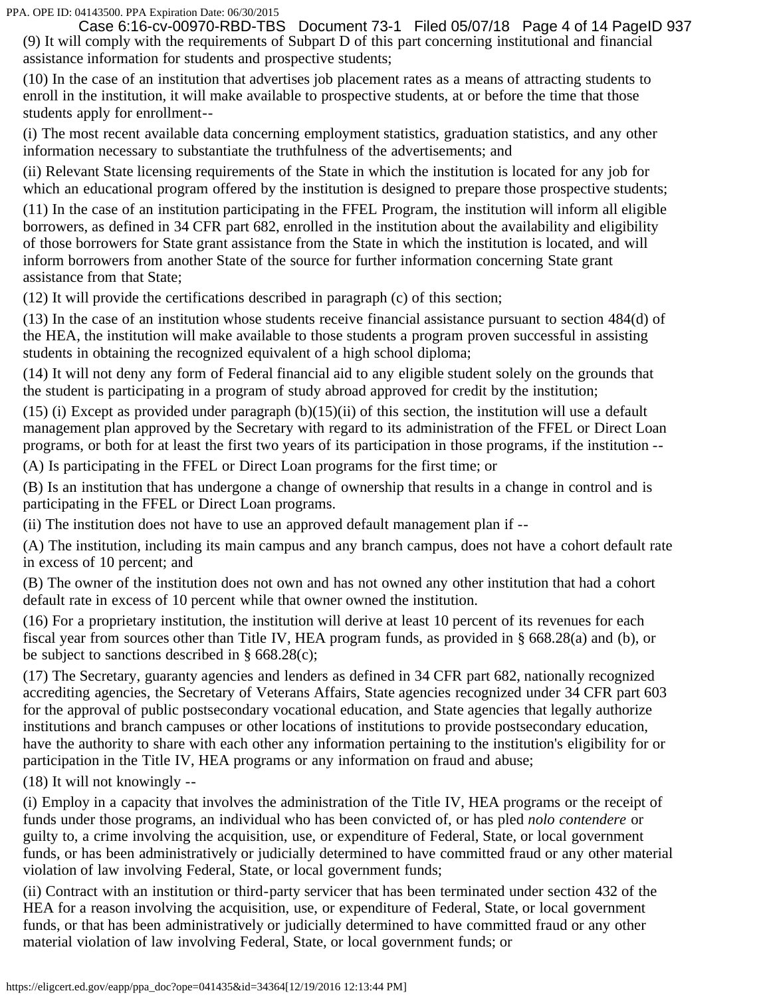(9) It will comply with the requirements of Subpart D of this part concerning institutional and financial assistance information for students and prospective students; Case 6:16-cv-00970-RBD-TBS Document 73-1 Filed 05/07/18 Page 4 of 14 PageID 937

(10) In the case of an institution that advertises job placement rates as a means of attracting students to enroll in the institution, it will make available to prospective students, at or before the time that those students apply for enrollment--

(i) The most recent available data concerning employment statistics, graduation statistics, and any other information necessary to substantiate the truthfulness of the advertisements; and

(ii) Relevant State licensing requirements of the State in which the institution is located for any job for which an educational program offered by the institution is designed to prepare those prospective students;

(11) In the case of an institution participating in the FFEL Program, the institution will inform all eligible borrowers, as defined in 34 CFR part 682, enrolled in the institution about the availability and eligibility of those borrowers for State grant assistance from the State in which the institution is located, and will inform borrowers from another State of the source for further information concerning State grant assistance from that State;

(12) It will provide the certifications described in paragraph (c) of this section;

(13) In the case of an institution whose students receive financial assistance pursuant to section 484(d) of the HEA, the institution will make available to those students a program proven successful in assisting students in obtaining the recognized equivalent of a high school diploma;

(14) It will not deny any form of Federal financial aid to any eligible student solely on the grounds that the student is participating in a program of study abroad approved for credit by the institution;

(15) (i) Except as provided under paragraph  $(b)(15)(ii)$  of this section, the institution will use a default management plan approved by the Secretary with regard to its administration of the FFEL or Direct Loan programs, or both for at least the first two years of its participation in those programs, if the institution --

(A) Is participating in the FFEL or Direct Loan programs for the first time; or

(B) Is an institution that has undergone a change of ownership that results in a change in control and is participating in the FFEL or Direct Loan programs.

(ii) The institution does not have to use an approved default management plan if --

(A) The institution, including its main campus and any branch campus, does not have a cohort default rate in excess of 10 percent; and

(B) The owner of the institution does not own and has not owned any other institution that had a cohort default rate in excess of 10 percent while that owner owned the institution.

(16) For a proprietary institution, the institution will derive at least 10 percent of its revenues for each fiscal year from sources other than Title IV, HEA program funds, as provided in § 668.28(a) and (b), or be subject to sanctions described in § 668.28(c);

(17) The Secretary, guaranty agencies and lenders as defined in 34 CFR part 682, nationally recognized accrediting agencies, the Secretary of Veterans Affairs, State agencies recognized under 34 CFR part 603 for the approval of public postsecondary vocational education, and State agencies that legally authorize institutions and branch campuses or other locations of institutions to provide postsecondary education, have the authority to share with each other any information pertaining to the institution's eligibility for or participation in the Title IV, HEA programs or any information on fraud and abuse;

(18) It will not knowingly --

(i) Employ in a capacity that involves the administration of the Title IV, HEA programs or the receipt of funds under those programs, an individual who has been convicted of, or has pled *nolo contendere* or guilty to, a crime involving the acquisition, use, or expenditure of Federal, State, or local government funds, or has been administratively or judicially determined to have committed fraud or any other material violation of law involving Federal, State, or local government funds;

(ii) Contract with an institution or third-party servicer that has been terminated under section 432 of the HEA for a reason involving the acquisition, use, or expenditure of Federal, State, or local government funds, or that has been administratively or judicially determined to have committed fraud or any other material violation of law involving Federal, State, or local government funds; or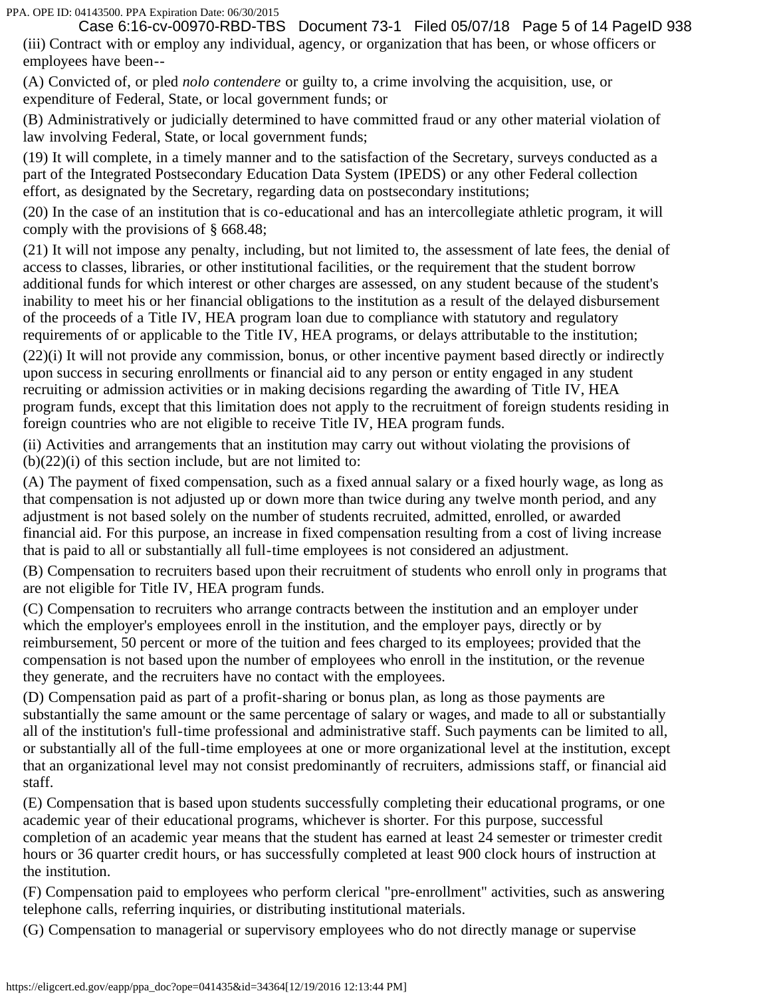(iii) Contract with or employ any individual, agency, or organization that has been, or whose officers or employees have been-- Case 6:16-cv-00970-RBD-TBS Document 73-1 Filed 05/07/18 Page 5 of 14 PageID 938

(A) Convicted of, or pled *nolo contendere* or guilty to, a crime involving the acquisition, use, or expenditure of Federal, State, or local government funds; or

(B) Administratively or judicially determined to have committed fraud or any other material violation of law involving Federal, State, or local government funds;

(19) It will complete, in a timely manner and to the satisfaction of the Secretary, surveys conducted as a part of the Integrated Postsecondary Education Data System (IPEDS) or any other Federal collection effort, as designated by the Secretary, regarding data on postsecondary institutions;

(20) In the case of an institution that is co-educational and has an intercollegiate athletic program, it will comply with the provisions of § 668.48;

(21) It will not impose any penalty, including, but not limited to, the assessment of late fees, the denial of access to classes, libraries, or other institutional facilities, or the requirement that the student borrow additional funds for which interest or other charges are assessed, on any student because of the student's inability to meet his or her financial obligations to the institution as a result of the delayed disbursement of the proceeds of a Title IV, HEA program loan due to compliance with statutory and regulatory requirements of or applicable to the Title IV, HEA programs, or delays attributable to the institution;

(22)(i) It will not provide any commission, bonus, or other incentive payment based directly or indirectly upon success in securing enrollments or financial aid to any person or entity engaged in any student recruiting or admission activities or in making decisions regarding the awarding of Title IV, HEA program funds, except that this limitation does not apply to the recruitment of foreign students residing in foreign countries who are not eligible to receive Title IV, HEA program funds.

(ii) Activities and arrangements that an institution may carry out without violating the provisions of  $(b)(22)(i)$  of this section include, but are not limited to:

(A) The payment of fixed compensation, such as a fixed annual salary or a fixed hourly wage, as long as that compensation is not adjusted up or down more than twice during any twelve month period, and any adjustment is not based solely on the number of students recruited, admitted, enrolled, or awarded financial aid. For this purpose, an increase in fixed compensation resulting from a cost of living increase that is paid to all or substantially all full-time employees is not considered an adjustment.

(B) Compensation to recruiters based upon their recruitment of students who enroll only in programs that are not eligible for Title IV, HEA program funds.

(C) Compensation to recruiters who arrange contracts between the institution and an employer under which the employer's employees enroll in the institution, and the employer pays, directly or by reimbursement, 50 percent or more of the tuition and fees charged to its employees; provided that the compensation is not based upon the number of employees who enroll in the institution, or the revenue they generate, and the recruiters have no contact with the employees.

(D) Compensation paid as part of a profit-sharing or bonus plan, as long as those payments are substantially the same amount or the same percentage of salary or wages, and made to all or substantially all of the institution's full-time professional and administrative staff. Such payments can be limited to all, or substantially all of the full-time employees at one or more organizational level at the institution, except that an organizational level may not consist predominantly of recruiters, admissions staff, or financial aid staff.

(E) Compensation that is based upon students successfully completing their educational programs, or one academic year of their educational programs, whichever is shorter. For this purpose, successful completion of an academic year means that the student has earned at least 24 semester or trimester credit hours or 36 quarter credit hours, or has successfully completed at least 900 clock hours of instruction at the institution.

(F) Compensation paid to employees who perform clerical "pre-enrollment" activities, such as answering telephone calls, referring inquiries, or distributing institutional materials.

(G) Compensation to managerial or supervisory employees who do not directly manage or supervise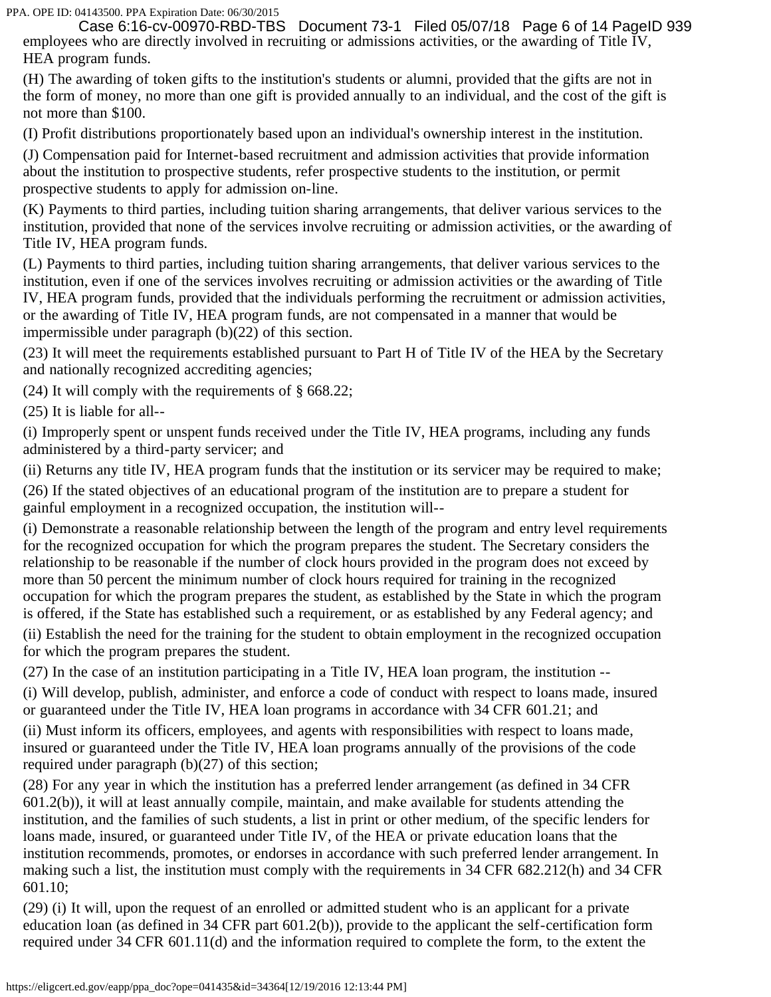employees who are directly involved in recruiting or admissions activities, or the awarding of Title IV, HEA program funds. Case 6:16-cv-00970-RBD-TBS Document 73-1 Filed 05/07/18 Page 6 of 14 PageID 939

(H) The awarding of token gifts to the institution's students or alumni, provided that the gifts are not in the form of money, no more than one gift is provided annually to an individual, and the cost of the gift is not more than \$100.

(I) Profit distributions proportionately based upon an individual's ownership interest in the institution.

(J) Compensation paid for Internet-based recruitment and admission activities that provide information about the institution to prospective students, refer prospective students to the institution, or permit prospective students to apply for admission on-line.

(K) Payments to third parties, including tuition sharing arrangements, that deliver various services to the institution, provided that none of the services involve recruiting or admission activities, or the awarding of Title IV, HEA program funds.

(L) Payments to third parties, including tuition sharing arrangements, that deliver various services to the institution, even if one of the services involves recruiting or admission activities or the awarding of Title IV, HEA program funds, provided that the individuals performing the recruitment or admission activities, or the awarding of Title IV, HEA program funds, are not compensated in a manner that would be impermissible under paragraph (b)(22) of this section.

(23) It will meet the requirements established pursuant to Part H of Title IV of the HEA by the Secretary and nationally recognized accrediting agencies;

(24) It will comply with the requirements of § 668.22;

(25) It is liable for all--

(i) Improperly spent or unspent funds received under the Title IV, HEA programs, including any funds administered by a third-party servicer; and

(ii) Returns any title IV, HEA program funds that the institution or its servicer may be required to make;

(26) If the stated objectives of an educational program of the institution are to prepare a student for gainful employment in a recognized occupation, the institution will--

(i) Demonstrate a reasonable relationship between the length of the program and entry level requirements for the recognized occupation for which the program prepares the student. The Secretary considers the relationship to be reasonable if the number of clock hours provided in the program does not exceed by more than 50 percent the minimum number of clock hours required for training in the recognized occupation for which the program prepares the student, as established by the State in which the program is offered, if the State has established such a requirement, or as established by any Federal agency; and

(ii) Establish the need for the training for the student to obtain employment in the recognized occupation for which the program prepares the student.

(27) In the case of an institution participating in a Title IV, HEA loan program, the institution --

(i) Will develop, publish, administer, and enforce a code of conduct with respect to loans made, insured or guaranteed under the Title IV, HEA loan programs in accordance with 34 CFR 601.21; and

(ii) Must inform its officers, employees, and agents with responsibilities with respect to loans made, insured or guaranteed under the Title IV, HEA loan programs annually of the provisions of the code required under paragraph (b)(27) of this section;

(28) For any year in which the institution has a preferred lender arrangement (as defined in 34 CFR 601.2(b)), it will at least annually compile, maintain, and make available for students attending the institution, and the families of such students, a list in print or other medium, of the specific lenders for loans made, insured, or guaranteed under Title IV, of the HEA or private education loans that the institution recommends, promotes, or endorses in accordance with such preferred lender arrangement. In making such a list, the institution must comply with the requirements in 34 CFR 682.212(h) and 34 CFR 601.10;

(29) (i) It will, upon the request of an enrolled or admitted student who is an applicant for a private education loan (as defined in 34 CFR part 601.2(b)), provide to the applicant the self-certification form required under 34 CFR 601.11(d) and the information required to complete the form, to the extent the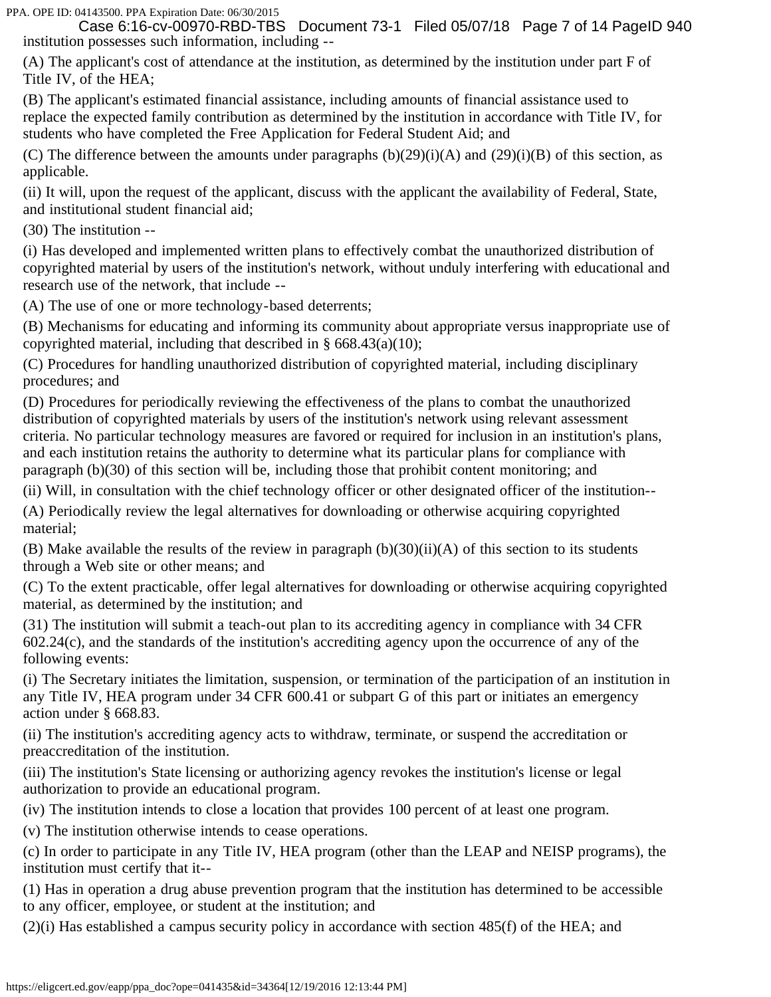institution possesses such information, including -- Case 6:16-cv-00970-RBD-TBS Document 73-1 Filed 05/07/18 Page 7 of 14 PageID 940

(A) The applicant's cost of attendance at the institution, as determined by the institution under part F of Title IV, of the HEA;

(B) The applicant's estimated financial assistance, including amounts of financial assistance used to replace the expected family contribution as determined by the institution in accordance with Title IV, for students who have completed the Free Application for Federal Student Aid; and

(C) The difference between the amounts under paragraphs  $(b)(29)(i)(A)$  and  $(29)(i)(B)$  of this section, as applicable.

(ii) It will, upon the request of the applicant, discuss with the applicant the availability of Federal, State, and institutional student financial aid;

(30) The institution --

(i) Has developed and implemented written plans to effectively combat the unauthorized distribution of copyrighted material by users of the institution's network, without unduly interfering with educational and research use of the network, that include --

(A) The use of one or more technology-based deterrents;

(B) Mechanisms for educating and informing its community about appropriate versus inappropriate use of copyrighted material, including that described in § 668.43(a)(10);

(C) Procedures for handling unauthorized distribution of copyrighted material, including disciplinary procedures; and

(D) Procedures for periodically reviewing the effectiveness of the plans to combat the unauthorized distribution of copyrighted materials by users of the institution's network using relevant assessment criteria. No particular technology measures are favored or required for inclusion in an institution's plans, and each institution retains the authority to determine what its particular plans for compliance with paragraph (b)(30) of this section will be, including those that prohibit content monitoring; and

(ii) Will, in consultation with the chief technology officer or other designated officer of the institution--

(A) Periodically review the legal alternatives for downloading or otherwise acquiring copyrighted material;

(B) Make available the results of the review in paragraph  $(b)(30)(ii)(A)$  of this section to its students through a Web site or other means; and

(C) To the extent practicable, offer legal alternatives for downloading or otherwise acquiring copyrighted material, as determined by the institution; and

(31) The institution will submit a teach-out plan to its accrediting agency in compliance with 34 CFR 602.24(c), and the standards of the institution's accrediting agency upon the occurrence of any of the following events:

(i) The Secretary initiates the limitation, suspension, or termination of the participation of an institution in any Title IV, HEA program under 34 CFR 600.41 or subpart G of this part or initiates an emergency action under § 668.83.

(ii) The institution's accrediting agency acts to withdraw, terminate, or suspend the accreditation or preaccreditation of the institution.

(iii) The institution's State licensing or authorizing agency revokes the institution's license or legal authorization to provide an educational program.

(iv) The institution intends to close a location that provides 100 percent of at least one program.

(v) The institution otherwise intends to cease operations.

(c) In order to participate in any Title IV, HEA program (other than the LEAP and NEISP programs), the institution must certify that it--

(1) Has in operation a drug abuse prevention program that the institution has determined to be accessible to any officer, employee, or student at the institution; and

(2)(i) Has established a campus security policy in accordance with section 485(f) of the HEA; and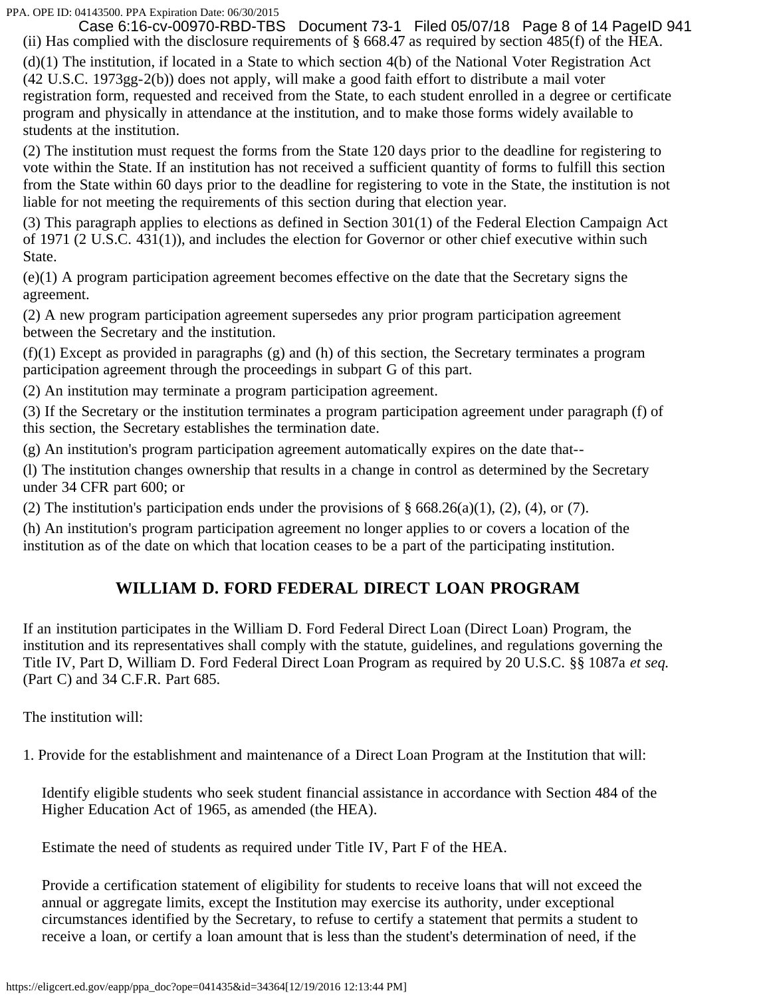(ii) Has complied with the disclosure requirements of  $\S$  668.47 as required by section 485(f) of the HEA. Case 6:16-cv-00970-RBD-TBS Document 73-1 Filed 05/07/18 Page 8 of 14 PageID 941

(d)(1) The institution, if located in a State to which section 4(b) of the National Voter Registration Act (42 U.S.C. 1973gg-2(b)) does not apply, will make a good faith effort to distribute a mail voter registration form, requested and received from the State, to each student enrolled in a degree or certificate program and physically in attendance at the institution, and to make those forms widely available to students at the institution.

(2) The institution must request the forms from the State 120 days prior to the deadline for registering to vote within the State. If an institution has not received a sufficient quantity of forms to fulfill this section from the State within 60 days prior to the deadline for registering to vote in the State, the institution is not liable for not meeting the requirements of this section during that election year.

(3) This paragraph applies to elections as defined in Section 301(1) of the Federal Election Campaign Act of 1971 (2 U.S.C. 431(1)), and includes the election for Governor or other chief executive within such State.

(e)(1) A program participation agreement becomes effective on the date that the Secretary signs the agreement.

(2) A new program participation agreement supersedes any prior program participation agreement between the Secretary and the institution.

(f)(1) Except as provided in paragraphs (g) and (h) of this section, the Secretary terminates a program participation agreement through the proceedings in subpart G of this part.

(2) An institution may terminate a program participation agreement.

(3) If the Secretary or the institution terminates a program participation agreement under paragraph (f) of this section, the Secretary establishes the termination date.

(g) An institution's program participation agreement automatically expires on the date that--

(l) The institution changes ownership that results in a change in control as determined by the Secretary under 34 CFR part 600; or

(2) The institution's participation ends under the provisions of  $\S 668.26(a)(1)$ , (2), (4), or (7).

(h) An institution's program participation agreement no longer applies to or covers a location of the institution as of the date on which that location ceases to be a part of the participating institution.

## **WILLIAM D. FORD FEDERAL DIRECT LOAN PROGRAM**

If an institution participates in the William D. Ford Federal Direct Loan (Direct Loan) Program, the institution and its representatives shall comply with the statute, guidelines, and regulations governing the Title IV, Part D, William D. Ford Federal Direct Loan Program as required by 20 U.S.C. §§ 1087a *et seq.* (Part C) and 34 C.F.R. Part 685.

The institution will:

1. Provide for the establishment and maintenance of a Direct Loan Program at the Institution that will:

Identify eligible students who seek student financial assistance in accordance with Section 484 of the Higher Education Act of 1965, as amended (the HEA).

Estimate the need of students as required under Title IV, Part F of the HEA.

Provide a certification statement of eligibility for students to receive loans that will not exceed the annual or aggregate limits, except the Institution may exercise its authority, under exceptional circumstances identified by the Secretary, to refuse to certify a statement that permits a student to receive a loan, or certify a loan amount that is less than the student's determination of need, if the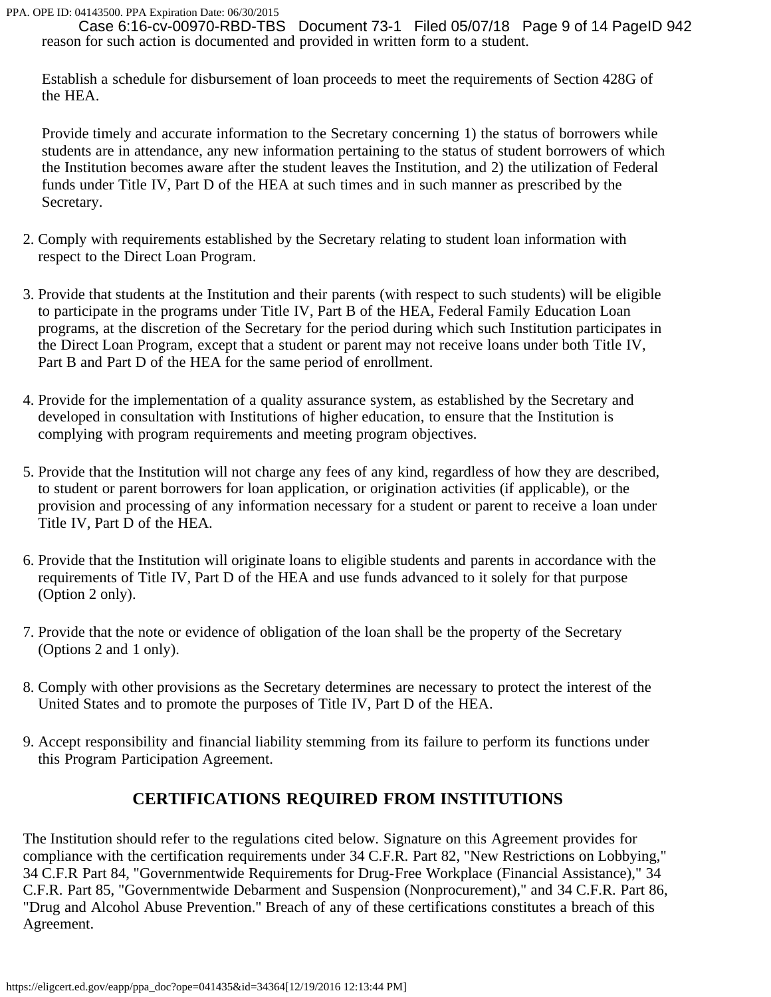reason for such action is documented and provided in written form to a student. Case 6:16-cv-00970-RBD-TBS Document 73-1 Filed 05/07/18 Page 9 of 14 PageID 942

Establish a schedule for disbursement of loan proceeds to meet the requirements of Section 428G of the HEA.

Provide timely and accurate information to the Secretary concerning 1) the status of borrowers while students are in attendance, any new information pertaining to the status of student borrowers of which the Institution becomes aware after the student leaves the Institution, and 2) the utilization of Federal funds under Title IV, Part D of the HEA at such times and in such manner as prescribed by the Secretary.

- 2. Comply with requirements established by the Secretary relating to student loan information with respect to the Direct Loan Program.
- 3. Provide that students at the Institution and their parents (with respect to such students) will be eligible to participate in the programs under Title IV, Part B of the HEA, Federal Family Education Loan programs, at the discretion of the Secretary for the period during which such Institution participates in the Direct Loan Program, except that a student or parent may not receive loans under both Title IV, Part B and Part D of the HEA for the same period of enrollment.
- 4. Provide for the implementation of a quality assurance system, as established by the Secretary and developed in consultation with Institutions of higher education, to ensure that the Institution is complying with program requirements and meeting program objectives.
- 5. Provide that the Institution will not charge any fees of any kind, regardless of how they are described, to student or parent borrowers for loan application, or origination activities (if applicable), or the provision and processing of any information necessary for a student or parent to receive a loan under Title IV, Part D of the HEA.
- 6. Provide that the Institution will originate loans to eligible students and parents in accordance with the requirements of Title IV, Part D of the HEA and use funds advanced to it solely for that purpose (Option 2 only).
- 7. Provide that the note or evidence of obligation of the loan shall be the property of the Secretary (Options 2 and 1 only).
- 8. Comply with other provisions as the Secretary determines are necessary to protect the interest of the United States and to promote the purposes of Title IV, Part D of the HEA.
- 9. Accept responsibility and financial liability stemming from its failure to perform its functions under this Program Participation Agreement.

## **CERTIFICATIONS REQUIRED FROM INSTITUTIONS**

The Institution should refer to the regulations cited below. Signature on this Agreement provides for compliance with the certification requirements under 34 C.F.R. Part 82, "New Restrictions on Lobbying," 34 C.F.R Part 84, "Governmentwide Requirements for Drug-Free Workplace (Financial Assistance)," 34 C.F.R. Part 85, "Governmentwide Debarment and Suspension (Nonprocurement)," and 34 C.F.R. Part 86, "Drug and Alcohol Abuse Prevention." Breach of any of these certifications constitutes a breach of this Agreement.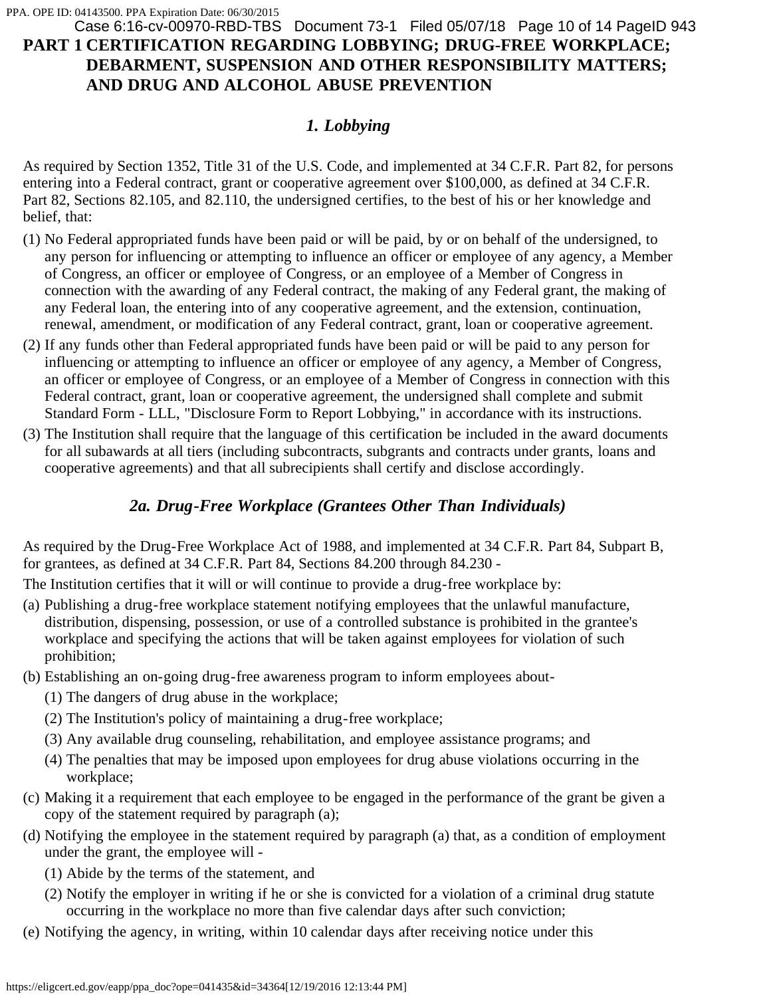## **PART 1 CERTIFICATION REGARDING LOBBYING; DRUG-FREE WORKPLACE; DEBARMENT, SUSPENSION AND OTHER RESPONSIBILITY MATTERS; AND DRUG AND ALCOHOL ABUSE PREVENTION** Case 6:16-cv-00970-RBD-TBS Document 73-1 Filed 05/07/18 Page 10 of 14 PageID 943

## *1. Lobbying*

As required by Section 1352, Title 31 of the U.S. Code, and implemented at 34 C.F.R. Part 82, for persons entering into a Federal contract, grant or cooperative agreement over \$100,000, as defined at 34 C.F.R. Part 82, Sections 82.105, and 82.110, the undersigned certifies, to the best of his or her knowledge and belief, that:

- (1) No Federal appropriated funds have been paid or will be paid, by or on behalf of the undersigned, to any person for influencing or attempting to influence an officer or employee of any agency, a Member of Congress, an officer or employee of Congress, or an employee of a Member of Congress in connection with the awarding of any Federal contract, the making of any Federal grant, the making of any Federal loan, the entering into of any cooperative agreement, and the extension, continuation, renewal, amendment, or modification of any Federal contract, grant, loan or cooperative agreement.
- (2) If any funds other than Federal appropriated funds have been paid or will be paid to any person for influencing or attempting to influence an officer or employee of any agency, a Member of Congress, an officer or employee of Congress, or an employee of a Member of Congress in connection with this Federal contract, grant, loan or cooperative agreement, the undersigned shall complete and submit Standard Form - LLL, "Disclosure Form to Report Lobbying," in accordance with its instructions.
- (3) The Institution shall require that the language of this certification be included in the award documents for all subawards at all tiers (including subcontracts, subgrants and contracts under grants, loans and cooperative agreements) and that all subrecipients shall certify and disclose accordingly.

## *2a. Drug-Free Workplace (Grantees Other Than Individuals)*

As required by the Drug-Free Workplace Act of 1988, and implemented at 34 C.F.R. Part 84, Subpart B, for grantees, as defined at 34 C.F.R. Part 84, Sections 84.200 through 84.230 -

The Institution certifies that it will or will continue to provide a drug-free workplace by:

- (a) Publishing a drug-free workplace statement notifying employees that the unlawful manufacture, distribution, dispensing, possession, or use of a controlled substance is prohibited in the grantee's workplace and specifying the actions that will be taken against employees for violation of such prohibition;
- (b) Establishing an on-going drug-free awareness program to inform employees about-
	- (1) The dangers of drug abuse in the workplace;
	- (2) The Institution's policy of maintaining a drug-free workplace;
	- (3) Any available drug counseling, rehabilitation, and employee assistance programs; and
	- (4) The penalties that may be imposed upon employees for drug abuse violations occurring in the workplace;
- (c) Making it a requirement that each employee to be engaged in the performance of the grant be given a copy of the statement required by paragraph (a);
- (d) Notifying the employee in the statement required by paragraph (a) that, as a condition of employment under the grant, the employee will -
	- (1) Abide by the terms of the statement, and
	- (2) Notify the employer in writing if he or she is convicted for a violation of a criminal drug statute occurring in the workplace no more than five calendar days after such conviction;
- (e) Notifying the agency, in writing, within 10 calendar days after receiving notice under this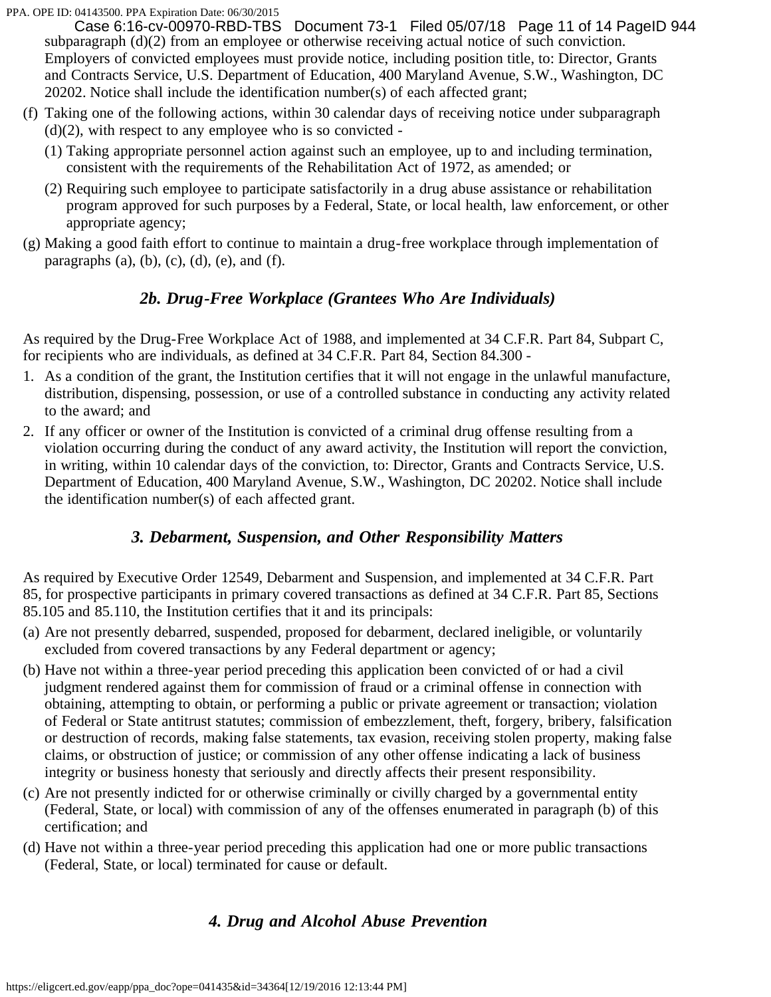subparagraph (d)(2) from an employee or otherwise receiving actual notice of such conviction. Employers of convicted employees must provide notice, including position title, to: Director, Grants and Contracts Service, U.S. Department of Education, 400 Maryland Avenue, S.W., Washington, DC 20202. Notice shall include the identification number(s) of each affected grant; Case 6:16-cv-00970-RBD-TBS Document 73-1 Filed 05/07/18 Page 11 of 14 PageID 944

- (f) Taking one of the following actions, within 30 calendar days of receiving notice under subparagraph  $(d)(2)$ , with respect to any employee who is so convicted -
	- (1) Taking appropriate personnel action against such an employee, up to and including termination, consistent with the requirements of the Rehabilitation Act of 1972, as amended; or
	- (2) Requiring such employee to participate satisfactorily in a drug abuse assistance or rehabilitation program approved for such purposes by a Federal, State, or local health, law enforcement, or other appropriate agency;
- (g) Making a good faith effort to continue to maintain a drug-free workplace through implementation of paragraphs  $(a)$ ,  $(b)$ ,  $(c)$ ,  $(d)$ ,  $(e)$ , and  $(f)$ .

## *2b. Drug-Free Workplace (Grantees Who Are Individuals)*

As required by the Drug-Free Workplace Act of 1988, and implemented at 34 C.F.R. Part 84, Subpart C, for recipients who are individuals, as defined at 34 C.F.R. Part 84, Section 84.300 -

- 1. As a condition of the grant, the Institution certifies that it will not engage in the unlawful manufacture, distribution, dispensing, possession, or use of a controlled substance in conducting any activity related to the award; and
- 2. If any officer or owner of the Institution is convicted of a criminal drug offense resulting from a violation occurring during the conduct of any award activity, the Institution will report the conviction, in writing, within 10 calendar days of the conviction, to: Director, Grants and Contracts Service, U.S. Department of Education, 400 Maryland Avenue, S.W., Washington, DC 20202. Notice shall include the identification number(s) of each affected grant.

## *3. Debarment, Suspension, and Other Responsibility Matters*

As required by Executive Order 12549, Debarment and Suspension, and implemented at 34 C.F.R. Part 85, for prospective participants in primary covered transactions as defined at 34 C.F.R. Part 85, Sections 85.105 and 85.110, the Institution certifies that it and its principals:

- (a) Are not presently debarred, suspended, proposed for debarment, declared ineligible, or voluntarily excluded from covered transactions by any Federal department or agency;
- (b) Have not within a three-year period preceding this application been convicted of or had a civil judgment rendered against them for commission of fraud or a criminal offense in connection with obtaining, attempting to obtain, or performing a public or private agreement or transaction; violation of Federal or State antitrust statutes; commission of embezzlement, theft, forgery, bribery, falsification or destruction of records, making false statements, tax evasion, receiving stolen property, making false claims, or obstruction of justice; or commission of any other offense indicating a lack of business integrity or business honesty that seriously and directly affects their present responsibility.
- (c) Are not presently indicted for or otherwise criminally or civilly charged by a governmental entity (Federal, State, or local) with commission of any of the offenses enumerated in paragraph (b) of this certification; and
- (d) Have not within a three-year period preceding this application had one or more public transactions (Federal, State, or local) terminated for cause or default.

## *4. Drug and Alcohol Abuse Prevention*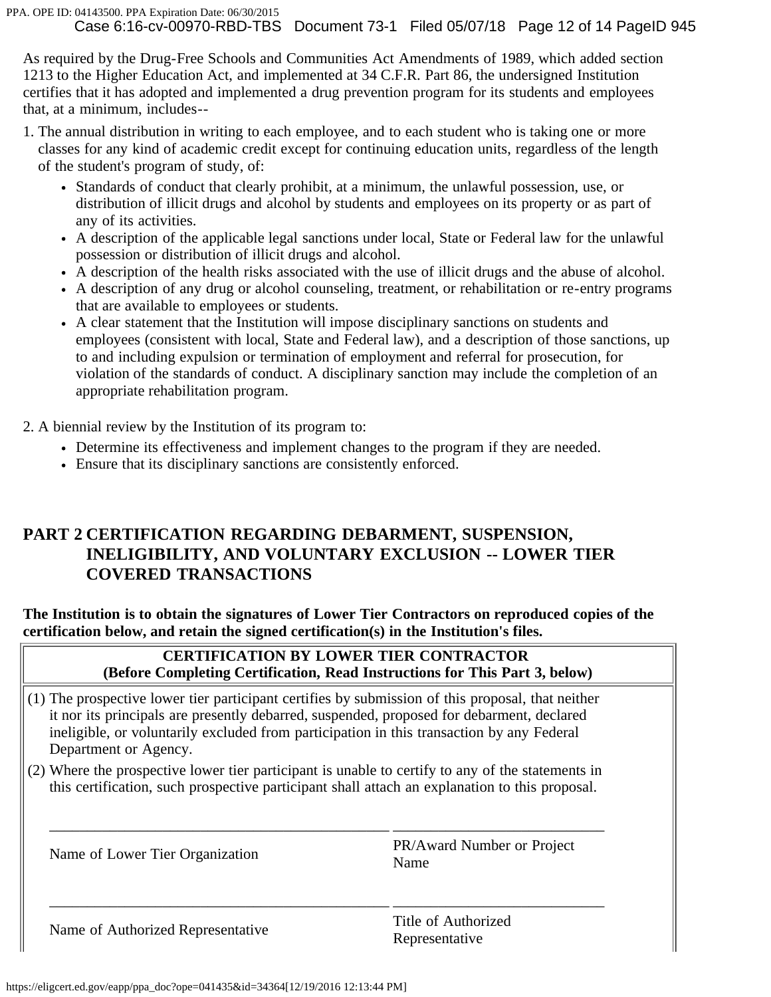As required by the Drug-Free Schools and Communities Act Amendments of 1989, which added section 1213 to the Higher Education Act, and implemented at 34 C.F.R. Part 86, the undersigned Institution certifies that it has adopted and implemented a drug prevention program for its students and employees that, at a minimum, includes--

- 1. The annual distribution in writing to each employee, and to each student who is taking one or more classes for any kind of academic credit except for continuing education units, regardless of the length of the student's program of study, of:
	- Standards of conduct that clearly prohibit, at a minimum, the unlawful possession, use, or distribution of illicit drugs and alcohol by students and employees on its property or as part of any of its activities.
	- A description of the applicable legal sanctions under local, State or Federal law for the unlawful possession or distribution of illicit drugs and alcohol.
	- A description of the health risks associated with the use of illicit drugs and the abuse of alcohol.
	- A description of any drug or alcohol counseling, treatment, or rehabilitation or re-entry programs that are available to employees or students.
	- A clear statement that the Institution will impose disciplinary sanctions on students and employees (consistent with local, State and Federal law), and a description of those sanctions, up to and including expulsion or termination of employment and referral for prosecution, for violation of the standards of conduct. A disciplinary sanction may include the completion of an appropriate rehabilitation program.

2. A biennial review by the Institution of its program to:

- Determine its effectiveness and implement changes to the program if they are needed.
- Ensure that its disciplinary sanctions are consistently enforced.

## **PART 2 CERTIFICATION REGARDING DEBARMENT, SUSPENSION, INELIGIBILITY, AND VOLUNTARY EXCLUSION -- LOWER TIER COVERED TRANSACTIONS**

**The Institution is to obtain the signatures of Lower Tier Contractors on reproduced copies of the certification below, and retain the signed certification(s) in the Institution's files.**

## **CERTIFICATION BY LOWER TIER CONTRACTOR (Before Completing Certification, Read Instructions for This Part 3, below)**

- (1) The prospective lower tier participant certifies by submission of this proposal, that neither it nor its principals are presently debarred, suspended, proposed for debarment, declared ineligible, or voluntarily excluded from participation in this transaction by any Federal Department or Agency.
- (2) Where the prospective lower tier participant is unable to certify to any of the statements in this certification, such prospective participant shall attach an explanation to this proposal.

\_\_\_\_\_\_\_\_\_\_\_\_\_\_\_\_\_\_\_\_\_\_\_\_\_\_\_\_\_\_\_\_\_\_\_\_\_\_\_\_\_\_\_\_\_ \_\_\_\_\_\_\_\_\_\_\_\_\_\_\_\_\_\_\_\_\_\_\_\_\_\_\_\_

\_\_\_\_\_\_\_\_\_\_\_\_\_\_\_\_\_\_\_\_\_\_\_\_\_\_\_\_\_\_\_\_\_\_\_\_\_\_\_\_\_\_\_\_\_ \_\_\_\_\_\_\_\_\_\_\_\_\_\_\_\_\_\_\_\_\_\_\_\_\_\_\_\_

Name of Lower Tier Organization PR/Award Number or Project Name

Name of Authorized Representative Title of Authorized

Representative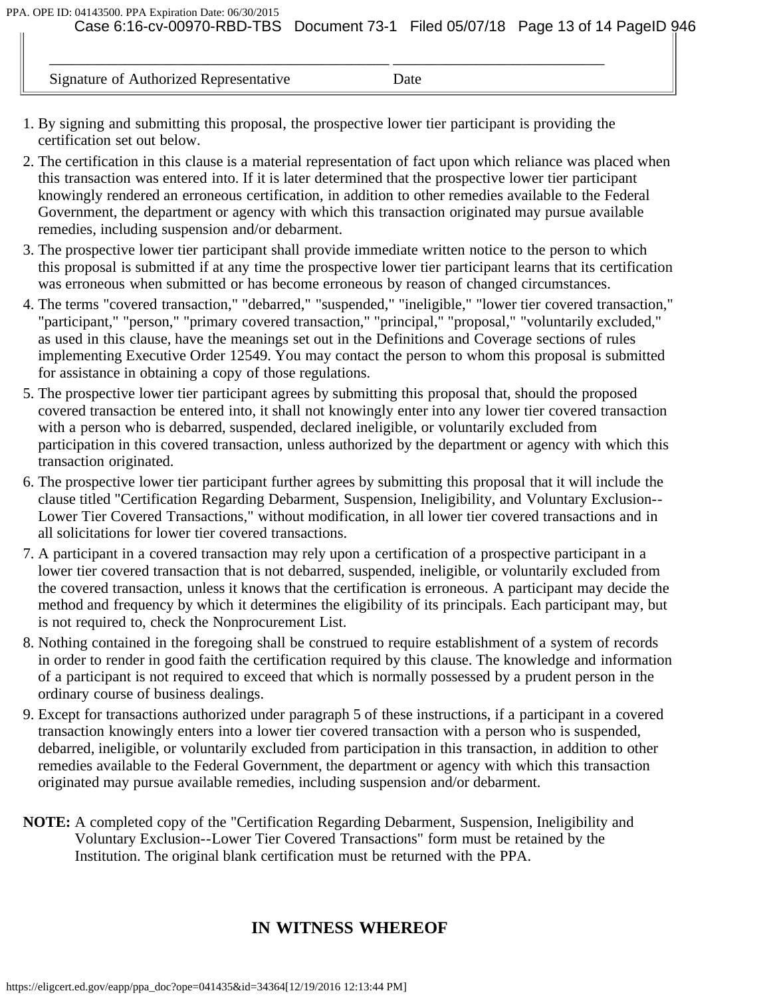Signature of Authorized Representative Date

\_\_\_\_\_\_\_\_\_\_\_\_\_\_\_\_\_\_\_\_\_\_\_\_\_\_\_\_\_\_\_\_\_\_\_\_\_\_\_\_\_\_\_\_\_ \_\_\_\_\_\_\_\_\_\_\_\_\_\_\_\_\_\_\_\_\_\_\_\_\_\_\_\_

- 1. By signing and submitting this proposal, the prospective lower tier participant is providing the certification set out below.
- 2. The certification in this clause is a material representation of fact upon which reliance was placed when this transaction was entered into. If it is later determined that the prospective lower tier participant knowingly rendered an erroneous certification, in addition to other remedies available to the Federal Government, the department or agency with which this transaction originated may pursue available remedies, including suspension and/or debarment.
- 3. The prospective lower tier participant shall provide immediate written notice to the person to which this proposal is submitted if at any time the prospective lower tier participant learns that its certification was erroneous when submitted or has become erroneous by reason of changed circumstances.
- 4. The terms "covered transaction," "debarred," "suspended," "ineligible," "lower tier covered transaction," "participant," "person," "primary covered transaction," "principal," "proposal," "voluntarily excluded," as used in this clause, have the meanings set out in the Definitions and Coverage sections of rules implementing Executive Order 12549. You may contact the person to whom this proposal is submitted for assistance in obtaining a copy of those regulations.
- 5. The prospective lower tier participant agrees by submitting this proposal that, should the proposed covered transaction be entered into, it shall not knowingly enter into any lower tier covered transaction with a person who is debarred, suspended, declared ineligible, or voluntarily excluded from participation in this covered transaction, unless authorized by the department or agency with which this transaction originated.
- 6. The prospective lower tier participant further agrees by submitting this proposal that it will include the clause titled "Certification Regarding Debarment, Suspension, Ineligibility, and Voluntary Exclusion-- Lower Tier Covered Transactions," without modification, in all lower tier covered transactions and in all solicitations for lower tier covered transactions.
- 7. A participant in a covered transaction may rely upon a certification of a prospective participant in a lower tier covered transaction that is not debarred, suspended, ineligible, or voluntarily excluded from the covered transaction, unless it knows that the certification is erroneous. A participant may decide the method and frequency by which it determines the eligibility of its principals. Each participant may, but is not required to, check the Nonprocurement List.
- 8. Nothing contained in the foregoing shall be construed to require establishment of a system of records in order to render in good faith the certification required by this clause. The knowledge and information of a participant is not required to exceed that which is normally possessed by a prudent person in the ordinary course of business dealings.
- 9. Except for transactions authorized under paragraph 5 of these instructions, if a participant in a covered transaction knowingly enters into a lower tier covered transaction with a person who is suspended, debarred, ineligible, or voluntarily excluded from participation in this transaction, in addition to other remedies available to the Federal Government, the department or agency with which this transaction originated may pursue available remedies, including suspension and/or debarment.
- **NOTE:** A completed copy of the "Certification Regarding Debarment, Suspension, Ineligibility and Voluntary Exclusion--Lower Tier Covered Transactions" form must be retained by the Institution. The original blank certification must be returned with the PPA.

## **IN WITNESS WHEREOF**